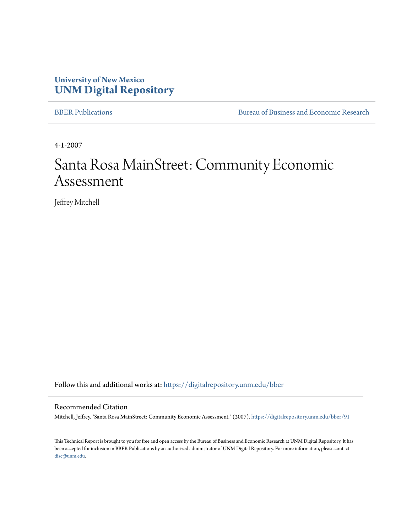# **University of New Mexico [UNM Digital Repository](https://digitalrepository.unm.edu?utm_source=digitalrepository.unm.edu%2Fbber%2F91&utm_medium=PDF&utm_campaign=PDFCoverPages)**

[BBER Publications](https://digitalrepository.unm.edu/bber?utm_source=digitalrepository.unm.edu%2Fbber%2F91&utm_medium=PDF&utm_campaign=PDFCoverPages) [Bureau of Business and Economic Research](https://digitalrepository.unm.edu/business_economic_research?utm_source=digitalrepository.unm.edu%2Fbber%2F91&utm_medium=PDF&utm_campaign=PDFCoverPages)

4-1-2007

# Santa Rosa MainStreet: Community Economic Assessment

Jeffrey Mitchell

Follow this and additional works at: [https://digitalrepository.unm.edu/bber](https://digitalrepository.unm.edu/bber?utm_source=digitalrepository.unm.edu%2Fbber%2F91&utm_medium=PDF&utm_campaign=PDFCoverPages)

#### Recommended Citation

Mitchell, Jeffrey. "Santa Rosa MainStreet: Community Economic Assessment." (2007). [https://digitalrepository.unm.edu/bber/91](https://digitalrepository.unm.edu/bber/91?utm_source=digitalrepository.unm.edu%2Fbber%2F91&utm_medium=PDF&utm_campaign=PDFCoverPages)

This Technical Report is brought to you for free and open access by the Bureau of Business and Economic Research at UNM Digital Repository. It has been accepted for inclusion in BBER Publications by an authorized administrator of UNM Digital Repository. For more information, please contact [disc@unm.edu](mailto:disc@unm.edu).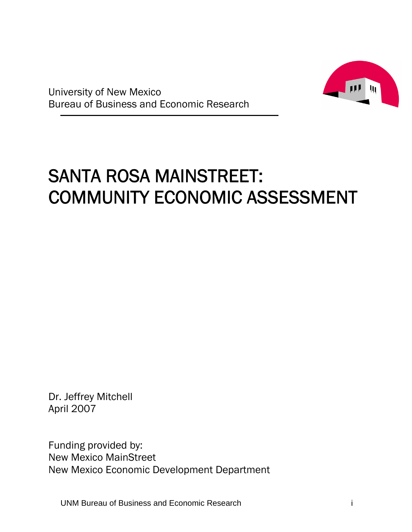

University of New Mexico Bureau of Business and Economic Research

# SANTA ROSA MAINSTREET: COMMUNITY ECONOMIC ASSESSMENT

Dr. Jeffrey Mitchell April 2007

Funding provided by: New Mexico MainStreet New Mexico Economic Development Department

UNM Bureau of Business and Economic Research i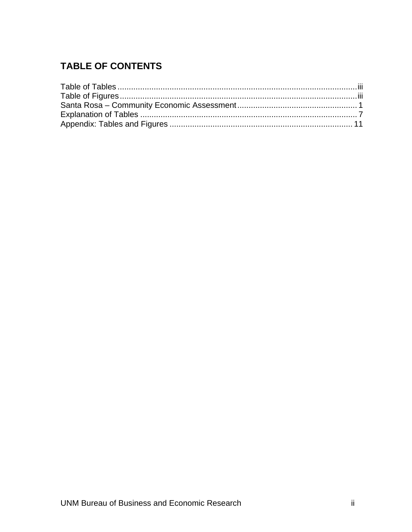# **TABLE OF CONTENTS**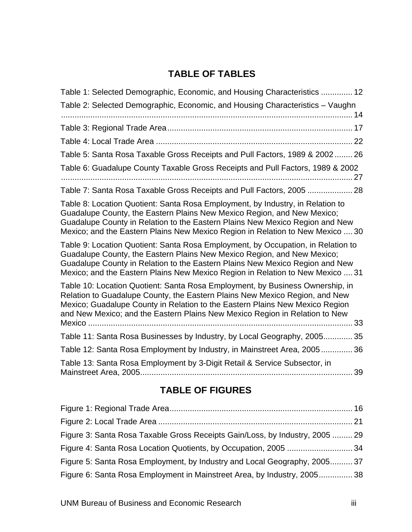# **TABLE OF TABLES**

| Table 1: Selected Demographic, Economic, and Housing Characteristics  12                                                                                                                                                                                                                                                          |
|-----------------------------------------------------------------------------------------------------------------------------------------------------------------------------------------------------------------------------------------------------------------------------------------------------------------------------------|
| Table 2: Selected Demographic, Economic, and Housing Characteristics - Vaughn                                                                                                                                                                                                                                                     |
|                                                                                                                                                                                                                                                                                                                                   |
|                                                                                                                                                                                                                                                                                                                                   |
| Table 5: Santa Rosa Taxable Gross Receipts and Pull Factors, 1989 & 2002 26                                                                                                                                                                                                                                                       |
| Table 6: Guadalupe County Taxable Gross Receipts and Pull Factors, 1989 & 2002<br>27                                                                                                                                                                                                                                              |
| Table 7: Santa Rosa Taxable Gross Receipts and Pull Factors, 2005  28                                                                                                                                                                                                                                                             |
| Table 8: Location Quotient: Santa Rosa Employment, by Industry, in Relation to<br>Guadalupe County, the Eastern Plains New Mexico Region, and New Mexico;<br>Guadalupe County in Relation to the Eastern Plains New Mexico Region and New<br>Mexico; and the Eastern Plains New Mexico Region in Relation to New Mexico  30       |
| Table 9: Location Quotient: Santa Rosa Employment, by Occupation, in Relation to<br>Guadalupe County, the Eastern Plains New Mexico Region, and New Mexico;<br>Guadalupe County in Relation to the Eastern Plains New Mexico Region and New<br>Mexico; and the Eastern Plains New Mexico Region in Relation to New Mexico  31     |
| Table 10: Location Quotient: Santa Rosa Employment, by Business Ownership, in<br>Relation to Guadalupe County, the Eastern Plains New Mexico Region, and New<br>Mexico; Guadalupe County in Relation to the Eastern Plains New Mexico Region<br>and New Mexico; and the Eastern Plains New Mexico Region in Relation to New<br>33 |
| Table 11: Santa Rosa Businesses by Industry, by Local Geography, 2005<br>35                                                                                                                                                                                                                                                       |
| Table 12: Santa Rosa Employment by Industry, in Mainstreet Area, 2005<br>36                                                                                                                                                                                                                                                       |
| Table 13: Santa Rosa Employment by 3-Digit Retail & Service Subsector, in<br>39                                                                                                                                                                                                                                                   |

# **TABLE OF FIGURES**

| Figure 3: Santa Rosa Taxable Gross Receipts Gain/Loss, by Industry, 2005  29 |  |
|------------------------------------------------------------------------------|--|
|                                                                              |  |
| Figure 5: Santa Rosa Employment, by Industry and Local Geography, 2005 37    |  |
| Figure 6: Santa Rosa Employment in Mainstreet Area, by Industry, 200538      |  |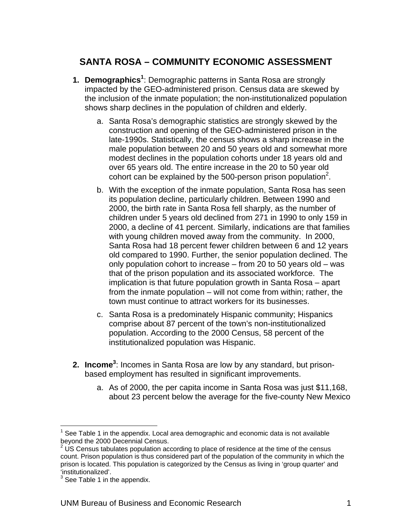# **SANTA ROSA – COMMUNITY ECONOMIC ASSESSMENT**

- **1. Demographics<sup>1</sup>** : Demographic patterns in Santa Rosa are strongly impacted by the GEO-administered prison. Census data are skewed by the inclusion of the inmate population; the non-institutionalized population shows sharp declines in the population of children and elderly.
	- a. Santa Rosa's demographic statistics are strongly skewed by the construction and opening of the GEO-administered prison in the late-1990s. Statistically, the census shows a sharp increase in the male population between 20 and 50 years old and somewhat more modest declines in the population cohorts under 18 years old and over 65 years old. The entire increase in the 20 to 50 year old cohort can be explained by the 500-person prison population<sup>2</sup>.
	- b. With the exception of the inmate population, Santa Rosa has seen its population decline, particularly children. Between 1990 and 2000, the birth rate in Santa Rosa fell sharply, as the number of children under 5 years old declined from 271 in 1990 to only 159 in 2000, a decline of 41 percent. Similarly, indications are that families with young children moved away from the community. In 2000, Santa Rosa had 18 percent fewer children between 6 and 12 years old compared to 1990. Further, the senior population declined. The only population cohort to increase – from 20 to 50 years old – was that of the prison population and its associated workforce. The implication is that future population growth in Santa Rosa – apart from the inmate population – will not come from within; rather, the town must continue to attract workers for its businesses.
	- c. Santa Rosa is a predominately Hispanic community; Hispanics comprise about 87 percent of the town's non-institutionalized population. According to the 2000 Census, 58 percent of the institutionalized population was Hispanic.
- 2. Income<sup>3</sup>: Incomes in Santa Rosa are low by any standard, but prisonbased employment has resulted in significant improvements.
	- a. As of 2000, the per capita income in Santa Rosa was just \$11,168, about 23 percent below the average for the five-county New Mexico

1

 $1$  See Table 1 in the appendix. Local area demographic and economic data is not available beyond the 2000 Decennial Census.

 $2\,\mathrm{US}$  Census tabulates population according to place of residence at the time of the census count. Prison population is thus considered part of the population of the community in which the prison is located. This population is categorized by the Census as living in 'group quarter' and 'institutionalized'.

 $3$  See Table 1 in the appendix.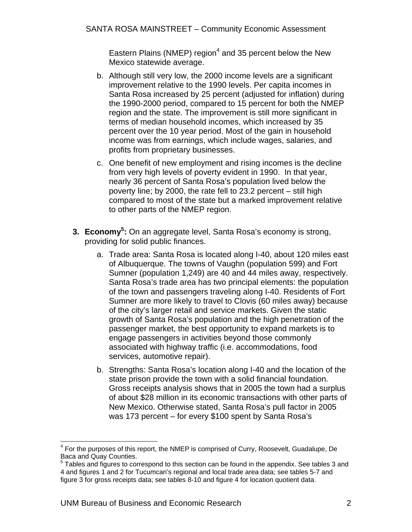Eastern Plains (NMEP) region<sup>4</sup> and 35 percent below the New Mexico statewide average.

- b. Although still very low, the 2000 income levels are a significant improvement relative to the 1990 levels. Per capita incomes in Santa Rosa increased by 25 percent (adjusted for inflation) during the 1990-2000 period, compared to 15 percent for both the NMEP region and the state. The improvement is still more significant in terms of median household incomes, which increased by 35 percent over the 10 year period. Most of the gain in household income was from earnings, which include wages, salaries, and profits from proprietary businesses.
- c. One benefit of new employment and rising incomes is the decline from very high levels of poverty evident in 1990. In that year, nearly 36 percent of Santa Rosa's population lived below the poverty line; by 2000, the rate fell to 23.2 percent – still high compared to most of the state but a marked improvement relative to other parts of the NMEP region.
- **3. Economy<sup>5</sup>:** On an aggregate level, Santa Rosa's economy is strong, providing for solid public finances.
	- a. Trade area: Santa Rosa is located along I-40, about 120 miles east of Albuquerque. The towns of Vaughn (population 599) and Fort Sumner (population 1,249) are 40 and 44 miles away, respectively. Santa Rosa's trade area has two principal elements: the population of the town and passengers traveling along I-40. Residents of Fort Sumner are more likely to travel to Clovis (60 miles away) because of the city's larger retail and service markets. Given the static growth of Santa Rosa's population and the high penetration of the passenger market, the best opportunity to expand markets is to engage passengers in activities beyond those commonly associated with highway traffic (i.e. accommodations, food services, automotive repair).
	- b. Strengths: Santa Rosa's location along I-40 and the location of the state prison provide the town with a solid financial foundation. Gross receipts analysis shows that in 2005 the town had a surplus of about \$28 million in its economic transactions with other parts of New Mexico. Otherwise stated, Santa Rosa's pull factor in 2005 was 173 percent – for every \$100 spent by Santa Rosa's

 4 For the purposes of this report, the NMEP is comprised of Curry, Roosevelt, Guadalupe, De Baca and Quay Counties.

 $5$  Tables and figures to correspond to this section can be found in the appendix. See tables 3 and 4 and figures 1 and 2 for Tucumcari's regional and local trade area data; see tables 5-7 and figure 3 for gross receipts data; see tables 8-10 and figure 4 for location quotient data.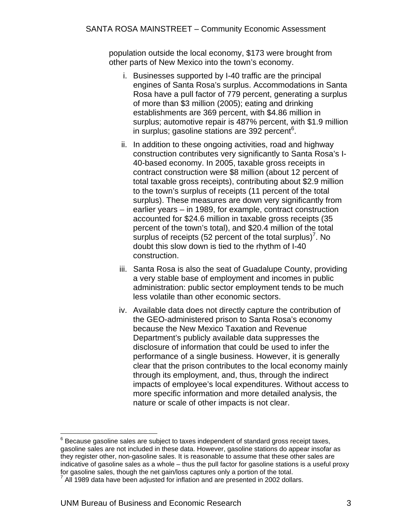population outside the local economy, \$173 were brought from other parts of New Mexico into the town's economy.

- i. Businesses supported by I-40 traffic are the principal engines of Santa Rosa's surplus. Accommodations in Santa Rosa have a pull factor of 779 percent, generating a surplus of more than \$3 million (2005); eating and drinking establishments are 369 percent, with \$4.86 million in surplus; automotive repair is 487% percent, with \$1.9 million in surplus; gasoline stations are 392 percent<sup>6</sup>.
- ii. In addition to these ongoing activities, road and highway construction contributes very significantly to Santa Rosa's I-40-based economy. In 2005, taxable gross receipts in contract construction were \$8 million (about 12 percent of total taxable gross receipts), contributing about \$2.9 million to the town's surplus of receipts (11 percent of the total surplus). These measures are down very significantly from earlier years – in 1989, for example, contract construction accounted for \$24.6 million in taxable gross receipts (35 percent of the town's total), and \$20.4 million of the total surplus of receipts (52 percent of the total surplus)<sup>7</sup>. No doubt this slow down is tied to the rhythm of I-40 construction.
- iii. Santa Rosa is also the seat of Guadalupe County, providing a very stable base of employment and incomes in public administration: public sector employment tends to be much less volatile than other economic sectors.
- iv. Available data does not directly capture the contribution of the GEO-administered prison to Santa Rosa's economy because the New Mexico Taxation and Revenue Department's publicly available data suppresses the disclosure of information that could be used to infer the performance of a single business. However, it is generally clear that the prison contributes to the local economy mainly through its employment, and, thus, through the indirect impacts of employee's local expenditures. Without access to more specific information and more detailed analysis, the nature or scale of other impacts is not clear.

 $\overline{a}$ 

 $^6$  Because gasoline sales are subject to taxes independent of standard gross receipt taxes, gasoline sales are not included in these data. However, gasoline stations do appear insofar as they register other, non-gasoline sales. It is reasonable to assume that these other sales are indicative of gasoline sales as a whole – thus the pull factor for gasoline stations is a useful proxy for gasoline sales, though the net gain/loss captures only a portion of the total.

All 1989 data have been adjusted for inflation and are presented in 2002 dollars.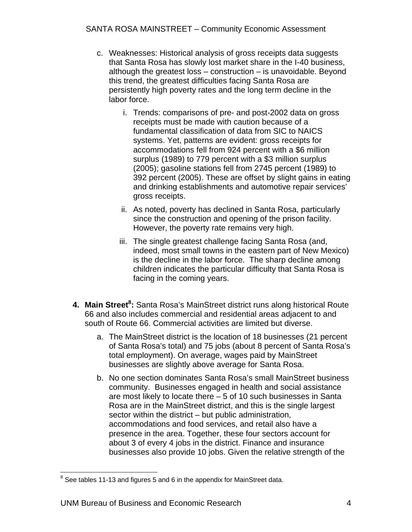- c. Weaknesses: Historical analysis of gross receipts data suggests that Santa Rosa has slowly lost market share in the I-40 business, although the greatest loss – construction – is unavoidable. Beyond this trend, the greatest difficulties facing Santa Rosa are persistently high poverty rates and the long term decline in the labor force.
	- i. Trends: comparisons of pre- and post-2002 data on gross receipts must be made with caution because of a fundamental classification of data from SIC to NAICS systems. Yet, patterns are evident: gross receipts for accommodations fell from 924 percent with a \$6 million surplus (1989) to 779 percent with a \$3 million surplus (2005); gasoline stations fell from 2745 percent (1989) to 392 percent (2005). These are offset by slight gains in eating and drinking establishments and automotive repair services' gross receipts.
	- ii. As noted, poverty has declined in Santa Rosa, particularly since the construction and opening of the prison facility. However, the poverty rate remains very high.
	- iii. The single greatest challenge facing Santa Rosa (and, indeed, most small towns in the eastern part of New Mexico) is the decline in the labor force. The sharp decline among children indicates the particular difficulty that Santa Rosa is facing in the coming years.
- 4. Main Street<sup>8</sup>: Santa Rosa's MainStreet district runs along historical Route 66 and also includes commercial and residential areas adjacent to and south of Route 66. Commercial activities are limited but diverse.
	- a. The MainStreet district is the location of 18 businesses (21 percent of Santa Rosa's total) and 75 jobs (about 8 percent of Santa Rosa's total employment). On average, wages paid by MainStreet businesses are slightly above average for Santa Rosa.
	- b. No one section dominates Santa Rosa's small MainStreet business community. Businesses engaged in health and social assistance are most likely to locate there – 5 of 10 such businesses in Santa Rosa are in the MainStreet district, and this is the single largest sector within the district – but public administration, accommodations and food services, and retail also have a presence in the area. Together, these four sectors account for about 3 of every 4 jobs in the district. Finance and insurance businesses also provide 10 jobs. Given the relative strength of the

ENEVIE 2012 11-13 and figures 5 and 6 in the appendix for MainStreet data.<br>Let us and figures 5 and 6 in the appendix for MainStreet data.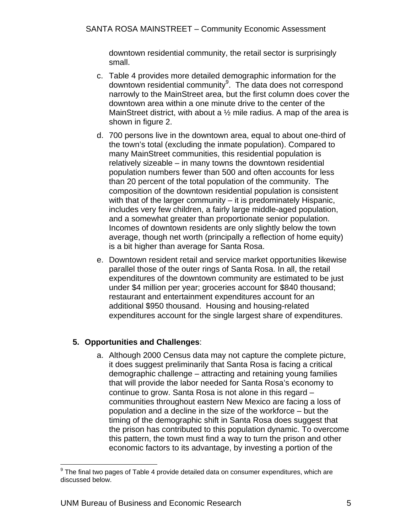downtown residential community, the retail sector is surprisingly small.

- c. Table 4 provides more detailed demographic information for the downtown residential community<sup>9</sup>. The data does not correspond narrowly to the MainStreet area, but the first column does cover the downtown area within a one minute drive to the center of the MainStreet district, with about a 1/2 mile radius. A map of the area is shown in figure 2.
- d. 700 persons live in the downtown area, equal to about one-third of the town's total (excluding the inmate population). Compared to many MainStreet communities, this residential population is relatively sizeable – in many towns the downtown residential population numbers fewer than 500 and often accounts for less than 20 percent of the total population of the community. The composition of the downtown residential population is consistent with that of the larger community – it is predominately Hispanic. includes very few children, a fairly large middle-aged population, and a somewhat greater than proportionate senior population. Incomes of downtown residents are only slightly below the town average, though net worth (principally a reflection of home equity) is a bit higher than average for Santa Rosa.
- e. Downtown resident retail and service market opportunities likewise parallel those of the outer rings of Santa Rosa. In all, the retail expenditures of the downtown community are estimated to be just under \$4 million per year; groceries account for \$840 thousand; restaurant and entertainment expenditures account for an additional \$950 thousand. Housing and housing-related expenditures account for the single largest share of expenditures.

# **5. Opportunities and Challenges**:

a. Although 2000 Census data may not capture the complete picture, it does suggest preliminarily that Santa Rosa is facing a critical demographic challenge – attracting and retaining young families that will provide the labor needed for Santa Rosa's economy to continue to grow. Santa Rosa is not alone in this regard – communities throughout eastern New Mexico are facing a loss of population and a decline in the size of the workforce – but the timing of the demographic shift in Santa Rosa does suggest that the prison has contributed to this population dynamic. To overcome this pattern, the town must find a way to turn the prison and other economic factors to its advantage, by investing a portion of the

 9 The final two pages of Table 4 provide detailed data on consumer expenditures, which are discussed below.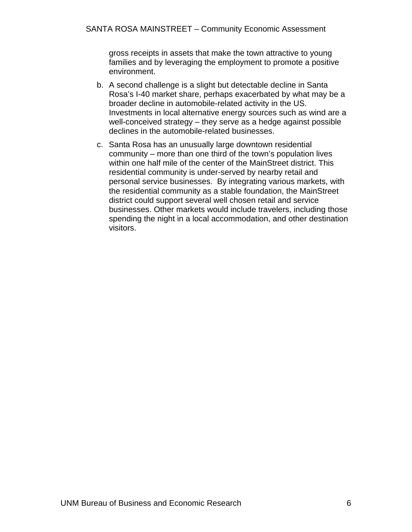gross receipts in assets that make the town attractive to young families and by leveraging the employment to promote a positive environment.

- b. A second challenge is a slight but detectable decline in Santa Rosa's I-40 market share, perhaps exacerbated by what may be a broader decline in automobile-related activity in the US. Investments in local alternative energy sources such as wind are a well-conceived strategy – they serve as a hedge against possible declines in the automobile-related businesses.
- c. Santa Rosa has an unusually large downtown residential community – more than one third of the town's population lives within one half mile of the center of the MainStreet district. This residential community is under-served by nearby retail and personal service businesses. By integrating various markets, with the residential community as a stable foundation, the MainStreet district could support several well chosen retail and service businesses. Other markets would include travelers, including those spending the night in a local accommodation, and other destination visitors.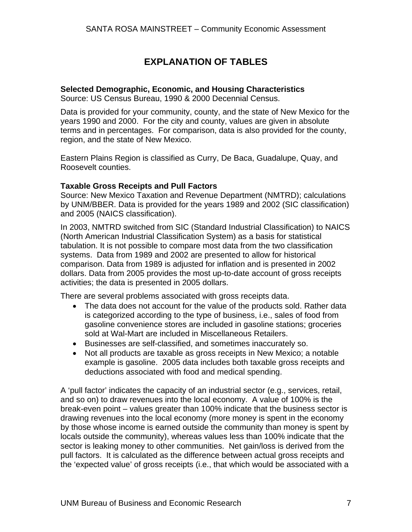# **EXPLANATION OF TABLES**

#### **Selected Demographic, Economic, and Housing Characteristics**

Source: US Census Bureau, 1990 & 2000 Decennial Census.

Data is provided for your community, county, and the state of New Mexico for the years 1990 and 2000. For the city and county, values are given in absolute terms and in percentages. For comparison, data is also provided for the county, region, and the state of New Mexico.

Eastern Plains Region is classified as Curry, De Baca, Guadalupe, Quay, and Roosevelt counties.

#### **Taxable Gross Receipts and Pull Factors**

Source: New Mexico Taxation and Revenue Department (NMTRD); calculations by UNM/BBER. Data is provided for the years 1989 and 2002 (SIC classification) and 2005 (NAICS classification).

In 2003, NMTRD switched from SIC (Standard Industrial Classification) to NAICS (North American Industrial Classification System) as a basis for statistical tabulation. It is not possible to compare most data from the two classification systems. Data from 1989 and 2002 are presented to allow for historical comparison. Data from 1989 is adjusted for inflation and is presented in 2002 dollars. Data from 2005 provides the most up-to-date account of gross receipts activities; the data is presented in 2005 dollars.

There are several problems associated with gross receipts data.

- The data does not account for the value of the products sold. Rather data is categorized according to the type of business, i.e., sales of food from gasoline convenience stores are included in gasoline stations; groceries sold at Wal-Mart are included in Miscellaneous Retailers.
- Businesses are self-classified, and sometimes inaccurately so.
- Not all products are taxable as gross receipts in New Mexico; a notable example is gasoline. 2005 data includes both taxable gross receipts and deductions associated with food and medical spending.

A 'pull factor' indicates the capacity of an industrial sector (e.g., services, retail, and so on) to draw revenues into the local economy. A value of 100% is the break-even point – values greater than 100% indicate that the business sector is drawing revenues into the local economy (more money is spent in the economy by those whose income is earned outside the community than money is spent by locals outside the community), whereas values less than 100% indicate that the sector is leaking money to other communities. Net gain/loss is derived from the pull factors. It is calculated as the difference between actual gross receipts and the 'expected value' of gross receipts (i.e., that which would be associated with a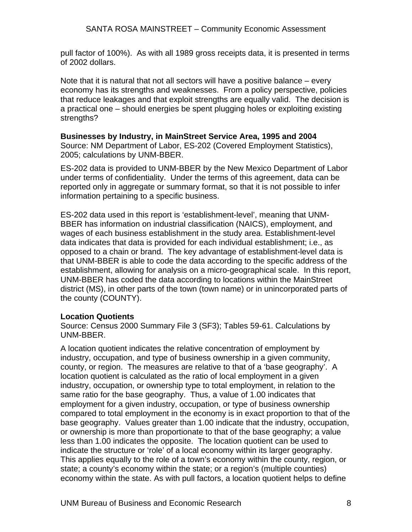pull factor of 100%). As with all 1989 gross receipts data, it is presented in terms of 2002 dollars.

Note that it is natural that not all sectors will have a positive balance – every economy has its strengths and weaknesses. From a policy perspective, policies that reduce leakages and that exploit strengths are equally valid. The decision is a practical one – should energies be spent plugging holes or exploiting existing strengths?

#### **Businesses by Industry, in MainStreet Service Area, 1995 and 2004**

Source: NM Department of Labor, ES-202 (Covered Employment Statistics), 2005; calculations by UNM-BBER.

ES-202 data is provided to UNM-BBER by the New Mexico Department of Labor under terms of confidentiality. Under the terms of this agreement, data can be reported only in aggregate or summary format, so that it is not possible to infer information pertaining to a specific business.

ES-202 data used in this report is 'establishment-level', meaning that UNM-BBER has information on industrial classification (NAICS), employment, and wages of each business establishment in the study area. Establishment-level data indicates that data is provided for each individual establishment; i.e., as opposed to a chain or brand. The key advantage of establishment-level data is that UNM-BBER is able to code the data according to the specific address of the establishment, allowing for analysis on a micro-geographical scale. In this report, UNM-BBER has coded the data according to locations within the MainStreet district (MS), in other parts of the town (town name) or in unincorporated parts of the county (COUNTY).

## **Location Quotients**

Source: Census 2000 Summary File 3 (SF3); Tables 59-61. Calculations by UNM-BBER.

A location quotient indicates the relative concentration of employment by industry, occupation, and type of business ownership in a given community, county, or region. The measures are relative to that of a 'base geography'. A location quotient is calculated as the ratio of local employment in a given industry, occupation, or ownership type to total employment, in relation to the same ratio for the base geography. Thus, a value of 1.00 indicates that employment for a given industry, occupation, or type of business ownership compared to total employment in the economy is in exact proportion to that of the base geography. Values greater than 1.00 indicate that the industry, occupation, or ownership is more than proportionate to that of the base geography; a value less than 1.00 indicates the opposite. The location quotient can be used to indicate the structure or 'role' of a local economy within its larger geography. This applies equally to the role of a town's economy within the county, region, or state; a county's economy within the state; or a region's (multiple counties) economy within the state. As with pull factors, a location quotient helps to define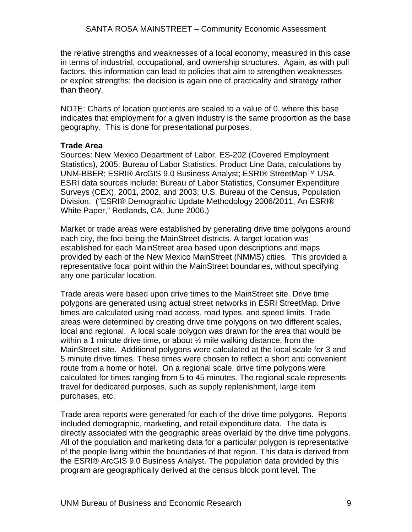the relative strengths and weaknesses of a local economy, measured in this case in terms of industrial, occupational, and ownership structures. Again, as with pull factors, this information can lead to policies that aim to strengthen weaknesses or exploit strengths; the decision is again one of practicality and strategy rather than theory.

NOTE: Charts of location quotients are scaled to a value of 0, where this base indicates that employment for a given industry is the same proportion as the base geography. This is done for presentational purposes.

#### **Trade Area**

Sources: New Mexico Department of Labor, ES-202 (Covered Employment Statistics), 2005; Bureau of Labor Statistics, Product Line Data, calculations by UNM-BBER; ESRI® ArcGIS 9.0 Business Analyst; ESRI® StreetMap™ USA. ESRI data sources include: Bureau of Labor Statistics, Consumer Expenditure Surveys (CEX), 2001, 2002, and 2003; U.S. Bureau of the Census, Population Division. ("ESRI® Demographic Update Methodology 2006/2011, An ESRI® White Paper," Redlands, CA, June 2006.)

Market or trade areas were established by generating drive time polygons around each city, the foci being the MainStreet districts. A target location was established for each MainStreet area based upon descriptions and maps provided by each of the New Mexico MainStreet (NMMS) cities. This provided a representative focal point within the MainStreet boundaries, without specifying any one particular location.

Trade areas were based upon drive times to the MainStreet site. Drive time polygons are generated using actual street networks in ESRI StreetMap. Drive times are calculated using road access, road types, and speed limits. Trade areas were determined by creating drive time polygons on two different scales, local and regional. A local scale polygon was drawn for the area that would be within a 1 minute drive time, or about  $\frac{1}{2}$  mile walking distance, from the MainStreet site. Additional polygons were calculated at the local scale for 3 and 5 minute drive times. These times were chosen to reflect a short and convenient route from a home or hotel. On a regional scale, drive time polygons were calculated for times ranging from 5 to 45 minutes. The regional scale represents travel for dedicated purposes, such as supply replenishment, large item purchases, etc.

Trade area reports were generated for each of the drive time polygons. Reports included demographic, marketing, and retail expenditure data. The data is directly associated with the geographic areas overlaid by the drive time polygons. All of the population and marketing data for a particular polygon is representative of the people living within the boundaries of that region. This data is derived from the ESRI® ArcGIS 9.0 Business Analyst. The population data provided by this program are geographically derived at the census block point level. The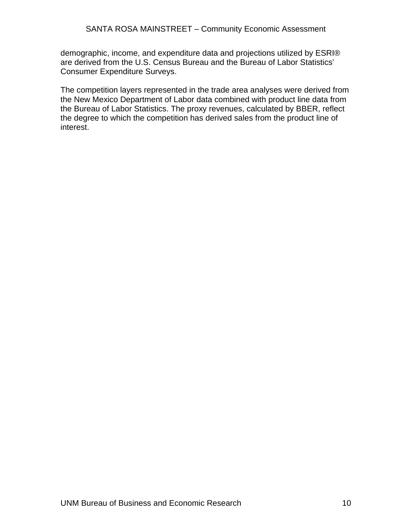demographic, income, and expenditure data and projections utilized by ESRI® are derived from the U.S. Census Bureau and the Bureau of Labor Statistics' Consumer Expenditure Surveys.

The competition layers represented in the trade area analyses were derived from the New Mexico Department of Labor data combined with product line data from the Bureau of Labor Statistics. The proxy revenues, calculated by BBER, reflect the degree to which the competition has derived sales from the product line of interest.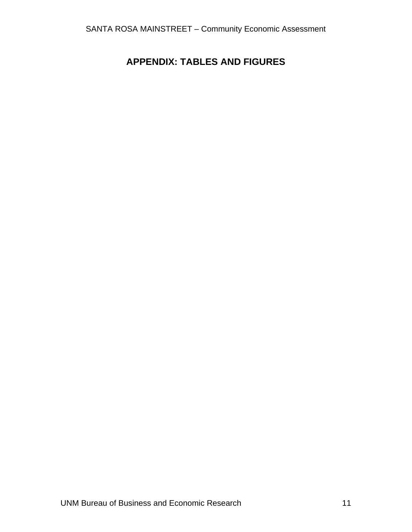# **APPENDIX: TABLES AND FIGURES**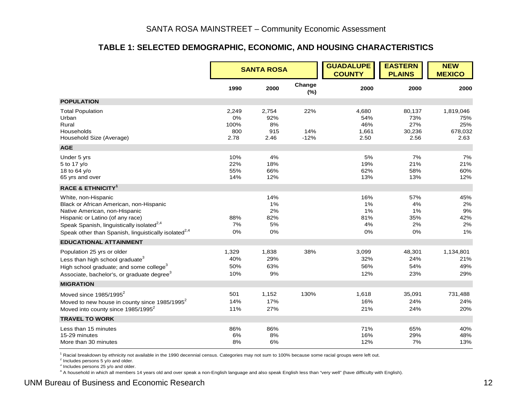#### **TABLE 1: SELECTED DEMOGRAPHIC, ECONOMIC, AND HOUSING CHARACTERISTICS**

|                                                                                                                                                                                                                                                                  |                                    | <b>SANTA ROSA</b>                  |                      | <b>GUADALUPE</b><br><b>COUNTY</b>    | <b>EASTERN</b><br><b>PLAINS</b>        | <b>NEW</b><br><b>MEXICO</b>                |
|------------------------------------------------------------------------------------------------------------------------------------------------------------------------------------------------------------------------------------------------------------------|------------------------------------|------------------------------------|----------------------|--------------------------------------|----------------------------------------|--------------------------------------------|
|                                                                                                                                                                                                                                                                  | 1990                               | 2000                               | Change<br>(%)        | 2000                                 | 2000                                   | 2000                                       |
| <b>POPULATION</b>                                                                                                                                                                                                                                                |                                    |                                    |                      |                                      |                                        |                                            |
| <b>Total Population</b><br>Urban<br>Rural<br>Households<br>Household Size (Average)                                                                                                                                                                              | 2,249<br>0%<br>100%<br>800<br>2.78 | 2,754<br>92%<br>8%<br>915<br>2.46  | 22%<br>14%<br>$-12%$ | 4,680<br>54%<br>46%<br>1,661<br>2.50 | 80,137<br>73%<br>27%<br>30,236<br>2.56 | 1,819,046<br>75%<br>25%<br>678,032<br>2.63 |
| <b>AGE</b>                                                                                                                                                                                                                                                       |                                    |                                    |                      |                                      |                                        |                                            |
| Under 5 yrs<br>5 to 17 y/o<br>18 to 64 y/o<br>65 yrs and over                                                                                                                                                                                                    | 10%<br>22%<br>55%<br>14%           | 4%<br>18%<br>66%<br>12%            |                      | 5%<br>19%<br>62%<br>13%              | 7%<br>21%<br>58%<br>13%                | 7%<br>21%<br>60%<br>12%                    |
| <b>RACE &amp; ETHNICITY<sup>1</sup></b>                                                                                                                                                                                                                          |                                    |                                    |                      |                                      |                                        |                                            |
| White, non-Hispanic<br>Black or African American, non-Hispanic<br>Native American, non-Hispanic<br>Hispanic or Latino (of any race)<br>Speak Spanish, linguistically isolated <sup>2,4</sup><br>Speak other than Spanish, linguistically isolated <sup>2,4</sup> | 88%<br>7%<br>0%                    | 14%<br>1%<br>2%<br>82%<br>5%<br>0% |                      | 16%<br>1%<br>1%<br>81%<br>4%<br>0%   | 57%<br>4%<br>1%<br>35%<br>2%<br>0%     | 45%<br>2%<br>9%<br>42%<br>2%<br>1%         |
| <b>EDUCATIONAL ATTAINMENT</b>                                                                                                                                                                                                                                    |                                    |                                    |                      |                                      |                                        |                                            |
| Population 25 yrs or older<br>Less than high school graduate <sup>3</sup><br>High school graduate; and some college <sup>3</sup><br>Associate, bachelor's, or graduate degree <sup>3</sup>                                                                       | 1,329<br>40%<br>50%<br>10%         | 1,838<br>29%<br>63%<br>9%          | 38%                  | 3,099<br>32%<br>56%<br>12%           | 48,301<br>24%<br>54%<br>23%            | 1,134,801<br>21%<br>49%<br>29%             |
| <b>MIGRATION</b>                                                                                                                                                                                                                                                 |                                    |                                    |                      |                                      |                                        |                                            |
| Moved since $1985/1995^2$<br>Moved to new house in county since 1985/1995 <sup>2</sup><br>Moved into county since 1985/1995 <sup>2</sup>                                                                                                                         | 501<br>14%<br>11%                  | 1,152<br>17%<br>27%                | 130%                 | 1,618<br>16%<br>21%                  | 35,091<br>24%<br>24%                   | 731,488<br>24%<br>20%                      |
| <b>TRAVEL TO WORK</b>                                                                                                                                                                                                                                            |                                    |                                    |                      |                                      |                                        |                                            |
| Less than 15 minutes<br>15-29 minutes<br>More than 30 minutes                                                                                                                                                                                                    | 86%<br>6%<br>8%                    | 86%<br>8%<br>6%                    |                      | 71%<br>16%<br>12%                    | 65%<br>29%<br>7%                       | 40%<br>48%<br>13%                          |

<sup>1</sup> Racial breakdown by ethnicity not available in the 1990 decennial census. Categories may not sum to 100% because some racial groups were left out.

<sup>3</sup> Includes persons 25 y/o and older.

4 A household in which all members 14 years old and over speak a non-English language and also speak English less than "very well" (have difficulty with English).

<sup>2</sup> Includes persons 5 y/o and older.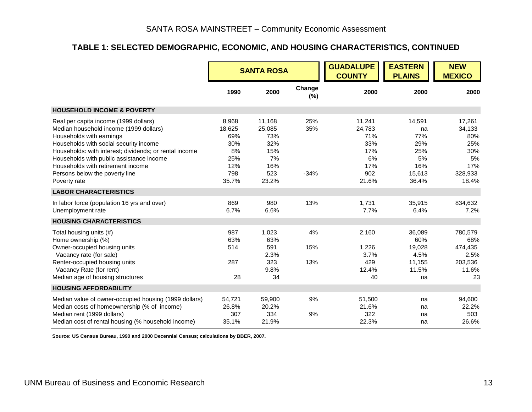# **TABLE 1: SELECTED DEMOGRAPHIC, ECONOMIC, AND HOUSING CHARACTERISTICS, CONTINUED**

|                                                                                                                                                                                                                                                                                                                                                    |                                                                   | <b>SANTA ROSA</b>                                                  |                      | <b>GUADALUPE</b><br><b>COUNTY</b>                                  | <b>EASTERN</b><br><b>PLAINS</b>                                   | <b>NEW</b><br><b>MEXICO</b>                                            |
|----------------------------------------------------------------------------------------------------------------------------------------------------------------------------------------------------------------------------------------------------------------------------------------------------------------------------------------------------|-------------------------------------------------------------------|--------------------------------------------------------------------|----------------------|--------------------------------------------------------------------|-------------------------------------------------------------------|------------------------------------------------------------------------|
|                                                                                                                                                                                                                                                                                                                                                    | 1990                                                              | 2000                                                               | Change<br>(%)        | 2000                                                               | 2000                                                              | 2000                                                                   |
| <b>HOUSEHOLD INCOME &amp; POVERTY</b>                                                                                                                                                                                                                                                                                                              |                                                                   |                                                                    |                      |                                                                    |                                                                   |                                                                        |
| Real per capita income (1999 dollars)<br>Median household income (1999 dollars)<br>Households with earnings<br>Households with social security income<br>Households: with interest; dividends; or rental income<br>Households with public assistance income<br>Households with retirement income<br>Persons below the poverty line<br>Poverty rate | 8,968<br>18,625<br>69%<br>30%<br>8%<br>25%<br>12%<br>798<br>35.7% | 11,168<br>25,085<br>73%<br>32%<br>15%<br>7%<br>16%<br>523<br>23.2% | 25%<br>35%<br>$-34%$ | 11,241<br>24,783<br>71%<br>33%<br>17%<br>6%<br>17%<br>902<br>21.6% | 14,591<br>na<br>77%<br>29%<br>25%<br>5%<br>16%<br>15,613<br>36.4% | 17,261<br>34,133<br>80%<br>25%<br>30%<br>5%<br>17%<br>328,933<br>18.4% |
| <b>LABOR CHARACTERISTICS</b>                                                                                                                                                                                                                                                                                                                       |                                                                   |                                                                    |                      |                                                                    |                                                                   |                                                                        |
| In labor force (population 16 yrs and over)<br>Unemployment rate                                                                                                                                                                                                                                                                                   | 869<br>6.7%                                                       | 980<br>6.6%                                                        | 13%                  | 1.731<br>7.7%                                                      | 35,915<br>6.4%                                                    | 834.632<br>7.2%                                                        |
| <b>HOUSING CHARACTERISTICS</b>                                                                                                                                                                                                                                                                                                                     |                                                                   |                                                                    |                      |                                                                    |                                                                   |                                                                        |
| Total housing units (#)<br>Home ownership (%)<br>Owner-occupied housing units<br>Vacancy rate (for sale)<br>Renter-occupied housing units<br>Vacancy Rate (for rent)<br>Median age of housing structures                                                                                                                                           | 987<br>63%<br>514<br>287<br>28                                    | 1,023<br>63%<br>591<br>2.3%<br>323<br>9.8%<br>34                   | 4%<br>15%<br>13%     | 2,160<br>1,226<br>3.7%<br>429<br>12.4%<br>40                       | 36,089<br>60%<br>19,028<br>4.5%<br>11,155<br>11.5%<br>na          | 780,579<br>68%<br>474,435<br>2.5%<br>203,536<br>11.6%<br>23            |
| <b>HOUSING AFFORDABILITY</b>                                                                                                                                                                                                                                                                                                                       |                                                                   |                                                                    |                      |                                                                    |                                                                   |                                                                        |
| Median value of owner-occupied housing (1999 dollars)<br>Median costs of homeownership (% of income)<br>Median rent (1999 dollars)<br>Median cost of rental housing (% household income)                                                                                                                                                           | 54,721<br>26.8%<br>307<br>35.1%                                   | 59,900<br>20.2%<br>334<br>21.9%                                    | 9%<br>9%             | 51,500<br>21.6%<br>322<br>22.3%                                    | na<br>na<br>na<br>na                                              | 94,600<br>22.2%<br>503<br>26.6%                                        |

**Source: US Census Bureau, 1990 and 2000 Decennial Census; calculations by BBER, 2007.**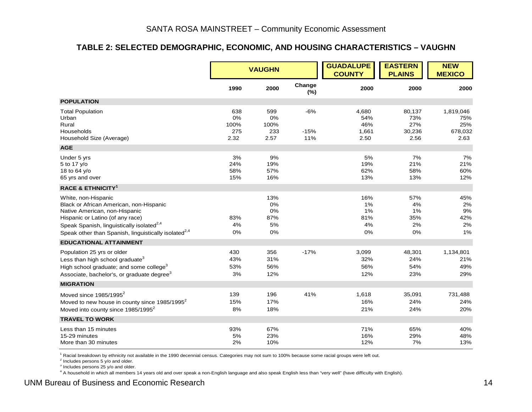#### **TABLE 2: SELECTED DEMOGRAPHIC, ECONOMIC, AND HOUSING CHARACTERISTICS – VAUGHN**

|                                                                                                                                                                                                                                                                  |                                  | <b>VAUGHN</b>                      |                        | <b>GUADALUPE</b><br><b>COUNTY</b>    | <b>EASTERN</b><br><b>PLAINS</b>        | <b>NEW</b><br><b>MEXICO</b>                |
|------------------------------------------------------------------------------------------------------------------------------------------------------------------------------------------------------------------------------------------------------------------|----------------------------------|------------------------------------|------------------------|--------------------------------------|----------------------------------------|--------------------------------------------|
|                                                                                                                                                                                                                                                                  | 1990                             | 2000                               | Change<br>(%)          | 2000                                 | 2000                                   | 2000                                       |
| <b>POPULATION</b>                                                                                                                                                                                                                                                |                                  |                                    |                        |                                      |                                        |                                            |
| <b>Total Population</b><br>Urban<br>Rural<br>Households<br>Household Size (Average)                                                                                                                                                                              | 638<br>0%<br>100%<br>275<br>2.32 | 599<br>0%<br>100%<br>233<br>2.57   | $-6%$<br>$-15%$<br>11% | 4,680<br>54%<br>46%<br>1,661<br>2.50 | 80,137<br>73%<br>27%<br>30,236<br>2.56 | 1,819,046<br>75%<br>25%<br>678,032<br>2.63 |
| <b>AGE</b>                                                                                                                                                                                                                                                       |                                  |                                    |                        |                                      |                                        |                                            |
| Under 5 yrs<br>5 to 17 y/o<br>18 to 64 y/o<br>65 yrs and over                                                                                                                                                                                                    | 3%<br>24%<br>58%<br>15%          | 9%<br>19%<br>57%<br>16%            |                        | 5%<br>19%<br>62%<br>13%              | 7%<br>21%<br>58%<br>13%                | 7%<br>21%<br>60%<br>12%                    |
| <b>RACE &amp; ETHNICITY<sup>1</sup></b>                                                                                                                                                                                                                          |                                  |                                    |                        |                                      |                                        |                                            |
| White, non-Hispanic<br>Black or African American, non-Hispanic<br>Native American, non-Hispanic<br>Hispanic or Latino (of any race)<br>Speak Spanish, linguistically isolated <sup>2,4</sup><br>Speak other than Spanish, linguistically isolated <sup>2,4</sup> | 83%<br>4%<br>0%                  | 13%<br>0%<br>0%<br>87%<br>5%<br>0% |                        | 16%<br>1%<br>1%<br>81%<br>4%<br>0%   | 57%<br>4%<br>1%<br>35%<br>2%<br>0%     | 45%<br>2%<br>9%<br>42%<br>2%<br>1%         |
| <b>EDUCATIONAL ATTAINMENT</b>                                                                                                                                                                                                                                    |                                  |                                    |                        |                                      |                                        |                                            |
| Population 25 yrs or older<br>Less than high school graduate <sup>3</sup><br>High school graduate; and some college <sup>3</sup><br>Associate, bachelor's, or graduate degree <sup>3</sup>                                                                       | 430<br>43%<br>53%<br>3%          | 356<br>31%<br>56%<br>12%           | $-17%$                 | 3,099<br>32%<br>56%<br>12%           | 48,301<br>24%<br>54%<br>23%            | 1,134,801<br>21%<br>49%<br>29%             |
| <b>MIGRATION</b>                                                                                                                                                                                                                                                 |                                  |                                    |                        |                                      |                                        |                                            |
| Moved since $1985/1995^2$<br>Moved to new house in county since 1985/1995 <sup>2</sup><br>Moved into county since 1985/1995 <sup>2</sup>                                                                                                                         | 139<br>15%<br>8%                 | 196<br>17%<br>18%                  | 41%                    | 1,618<br>16%<br>21%                  | 35,091<br>24%<br>24%                   | 731,488<br>24%<br>20%                      |
| <b>TRAVEL TO WORK</b>                                                                                                                                                                                                                                            |                                  |                                    |                        |                                      |                                        |                                            |
| Less than 15 minutes<br>15-29 minutes<br>More than 30 minutes                                                                                                                                                                                                    | 93%<br>5%<br>2%                  | 67%<br>23%<br>10%                  |                        | 71%<br>16%<br>12%                    | 65%<br>29%<br>7%                       | 40%<br>48%<br>13%                          |

1 Racial breakdown by ethnicity not available in the 1990 decennial census. Categories may not sum to 100% because some racial groups were left out.

 $2$  Includes persons 5 y/o and older.

<sup>3</sup> Includes persons 25 y/o and older.

4 A household in which all members 14 years old and over speak a non-English language and also speak English less than "very well" (have difficulty with English).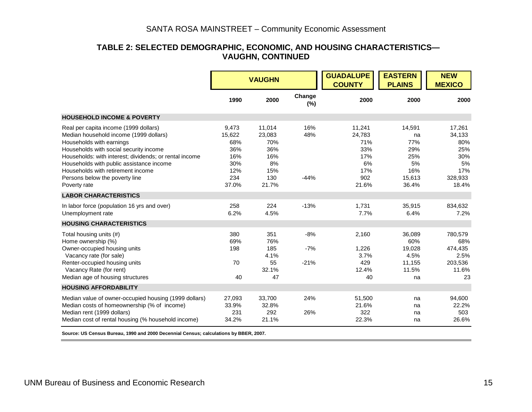#### **TABLE 2: SELECTED DEMOGRAPHIC, ECONOMIC, AND HOUSING CHARACTERISTICS— VAUGHN, CONTINUED**

|                                                                                                                                                                                                                                                                                                                                                    |                                                                    | <b>VAUGHN</b>                                                      |                          | <b>GUADALUPE</b><br><b>COUNTY</b>                                  | <b>EASTERN</b><br><b>PLAINS</b>                                   | <b>NEW</b><br><b>MEXICO</b>                                            |
|----------------------------------------------------------------------------------------------------------------------------------------------------------------------------------------------------------------------------------------------------------------------------------------------------------------------------------------------------|--------------------------------------------------------------------|--------------------------------------------------------------------|--------------------------|--------------------------------------------------------------------|-------------------------------------------------------------------|------------------------------------------------------------------------|
|                                                                                                                                                                                                                                                                                                                                                    | 1990                                                               | 2000                                                               | Change<br>(%)            | 2000                                                               | 2000                                                              | 2000                                                                   |
| <b>HOUSEHOLD INCOME &amp; POVERTY</b>                                                                                                                                                                                                                                                                                                              |                                                                    |                                                                    |                          |                                                                    |                                                                   |                                                                        |
| Real per capita income (1999 dollars)<br>Median household income (1999 dollars)<br>Households with earnings<br>Households with social security income<br>Households: with interest; dividends; or rental income<br>Households with public assistance income<br>Households with retirement income<br>Persons below the poverty line<br>Poverty rate | 9,473<br>15,622<br>68%<br>36%<br>16%<br>30%<br>12%<br>234<br>37.0% | 11,014<br>23,083<br>70%<br>36%<br>16%<br>8%<br>15%<br>130<br>21.7% | 16%<br>48%<br>$-44%$     | 11,241<br>24,783<br>71%<br>33%<br>17%<br>6%<br>17%<br>902<br>21.6% | 14,591<br>na<br>77%<br>29%<br>25%<br>5%<br>16%<br>15,613<br>36.4% | 17,261<br>34,133<br>80%<br>25%<br>30%<br>5%<br>17%<br>328.933<br>18.4% |
| <b>LABOR CHARACTERISTICS</b>                                                                                                                                                                                                                                                                                                                       |                                                                    |                                                                    |                          |                                                                    |                                                                   |                                                                        |
| In labor force (population 16 yrs and over)<br>Unemployment rate                                                                                                                                                                                                                                                                                   | 258<br>6.2%                                                        | 224<br>4.5%                                                        | $-13%$                   | 1,731<br>7.7%                                                      | 35,915<br>6.4%                                                    | 834.632<br>7.2%                                                        |
| <b>HOUSING CHARACTERISTICS</b>                                                                                                                                                                                                                                                                                                                     |                                                                    |                                                                    |                          |                                                                    |                                                                   |                                                                        |
| Total housing units (#)<br>Home ownership (%)<br>Owner-occupied housing units<br>Vacancy rate (for sale)<br>Renter-occupied housing units                                                                                                                                                                                                          | 380<br>69%<br>198<br>70                                            | 351<br>76%<br>185<br>4.1%<br>55                                    | $-8%$<br>$-7%$<br>$-21%$ | 2,160<br>1,226<br>3.7%<br>429                                      | 36,089<br>60%<br>19,028<br>4.5%<br>11,155                         | 780,579<br>68%<br>474,435<br>2.5%<br>203,536                           |
| Vacancy Rate (for rent)<br>Median age of housing structures                                                                                                                                                                                                                                                                                        | 40                                                                 | 32.1%<br>47                                                        |                          | 12.4%<br>40                                                        | 11.5%<br>na                                                       | 11.6%<br>23                                                            |
| <b>HOUSING AFFORDABILITY</b>                                                                                                                                                                                                                                                                                                                       |                                                                    |                                                                    |                          |                                                                    |                                                                   |                                                                        |
| Median value of owner-occupied housing (1999 dollars)<br>Median costs of homeownership (% of income)<br>Median rent (1999 dollars)                                                                                                                                                                                                                 | 27,093<br>33.9%<br>231                                             | 33,700<br>32.8%<br>292                                             | 24%<br>26%               | 51,500<br>21.6%<br>322                                             | na<br>na<br>na                                                    | 94,600<br>22.2%<br>503                                                 |
| Median cost of rental housing (% household income)                                                                                                                                                                                                                                                                                                 | 34.2%                                                              | 21.1%                                                              |                          | 22.3%                                                              | na                                                                | 26.6%                                                                  |

**Source: US Census Bureau, 1990 and 2000 Decennial Census; calculations by BBER, 2007.**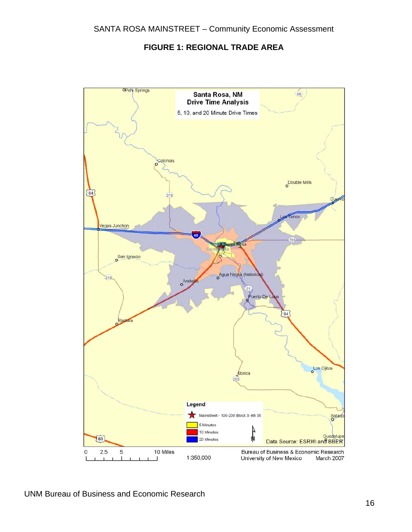#### **FIGURE 1: REGIONAL TRADE AREA**

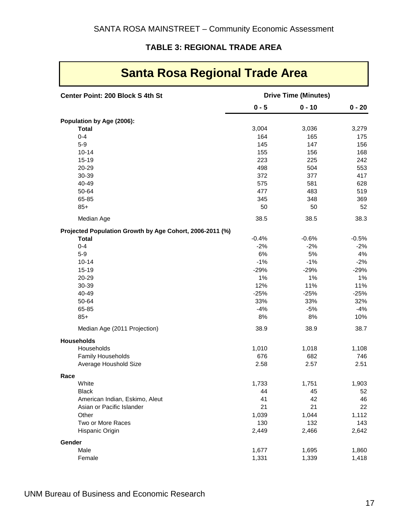# **TABLE 3: REGIONAL TRADE AREA**

| <b>Santa Rosa Regional Trade Area</b>                    |                             |          |          |  |  |  |
|----------------------------------------------------------|-----------------------------|----------|----------|--|--|--|
| Center Point: 200 Block S 4th St                         | <b>Drive Time (Minutes)</b> |          |          |  |  |  |
|                                                          | $0 - 5$                     | $0 - 10$ | $0 - 20$ |  |  |  |
| Population by Age (2006):                                |                             |          |          |  |  |  |
| <b>Total</b>                                             | 3,004                       | 3,036    | 3,279    |  |  |  |
| $0 - 4$                                                  | 164                         | 165      | 175      |  |  |  |
| $5-9$                                                    | 145                         | 147      | 156      |  |  |  |
| $10 - 14$                                                | 155                         | 156      | 168      |  |  |  |
| 15-19                                                    | 223                         | 225      | 242      |  |  |  |
| 20-29                                                    | 498                         | 504      | 553      |  |  |  |
| 30-39                                                    | 372                         | 377      | 417      |  |  |  |
| 40-49                                                    | 575                         | 581      | 628      |  |  |  |
| 50-64                                                    | 477                         | 483      | 519      |  |  |  |
| 65-85                                                    | 345                         | 348      | 369      |  |  |  |
| $85+$                                                    | 50                          | 50       | 52       |  |  |  |
| Median Age                                               | 38.5                        | 38.5     | 38.3     |  |  |  |
| Projected Population Growth by Age Cohort, 2006-2011 (%) |                             |          |          |  |  |  |
| <b>Total</b>                                             | $-0.4%$                     | $-0.6%$  | $-0.5%$  |  |  |  |
| $0 - 4$                                                  | $-2%$                       | $-2%$    | $-2%$    |  |  |  |
| $5-9$                                                    | 6%                          | 5%       | 4%       |  |  |  |
| $10 - 14$                                                | $-1%$                       | $-1%$    | $-2%$    |  |  |  |
| $15 - 19$                                                | $-29%$                      | $-29%$   | $-29%$   |  |  |  |
| 20-29                                                    | 1%                          | 1%       | 1%       |  |  |  |
| 30-39                                                    | 12%                         | 11%      | 11%      |  |  |  |
| 40-49                                                    | $-25%$                      | $-25%$   | $-25%$   |  |  |  |
| 50-64                                                    | 33%                         | 33%      | 32%      |  |  |  |
| 65-85                                                    | $-4%$                       | $-5%$    | $-4%$    |  |  |  |
| $85+$                                                    | 8%                          | 8%       | 10%      |  |  |  |
| Median Age (2011 Projection)                             | 38.9                        | 38.9     | 38.7     |  |  |  |
| <b>Households</b>                                        |                             |          |          |  |  |  |
| Households                                               | 1,010                       | 1,018    | 1,108    |  |  |  |
| <b>Family Households</b>                                 | 676                         | 682      | 746      |  |  |  |
| Average Houshold Size                                    | 2.58                        | 2.57     | 2.51     |  |  |  |
| Race                                                     |                             |          |          |  |  |  |
| White                                                    | 1,733                       | 1,751    | 1,903    |  |  |  |
| <b>Black</b>                                             | 44                          | 45       | 52       |  |  |  |
| American Indian, Eskimo, Aleut                           | 41                          | 42       | 46       |  |  |  |
| Asian or Pacific Islander                                | 21                          | 21       | 22       |  |  |  |
| Other                                                    | 1,039                       | 1,044    | 1,112    |  |  |  |
| Two or More Races                                        | 130                         | 132      | 143      |  |  |  |
| Hispanic Origin                                          | 2,449                       | 2,466    | 2,642    |  |  |  |
| Gender                                                   |                             |          |          |  |  |  |
| Male                                                     | 1,677                       | 1,695    | 1,860    |  |  |  |
| Female                                                   | 1,331                       | 1,339    | 1,418    |  |  |  |

 $\overline{\phantom{0}}$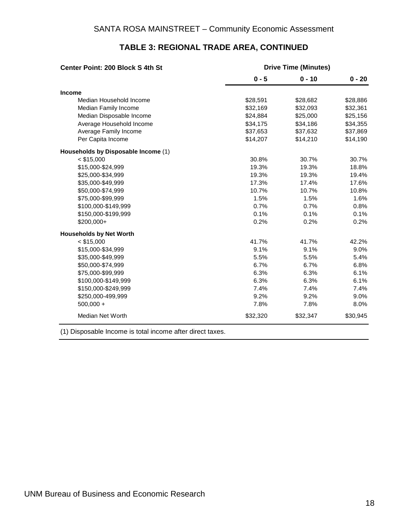| <b>Drive Time (Minutes)</b><br>Center Point: 200 Block S 4th St |          |          |          |
|-----------------------------------------------------------------|----------|----------|----------|
|                                                                 | $0 - 5$  | $0 - 10$ | $0 - 20$ |
| <b>Income</b>                                                   |          |          |          |
| Median Household Income                                         | \$28,591 | \$28,682 | \$28,886 |
| Median Family Income                                            | \$32,169 | \$32,093 | \$32,361 |
| Median Disposable Income                                        | \$24,884 | \$25,000 | \$25,156 |
| Average Household Income                                        | \$34,175 | \$34,186 | \$34,355 |
| Average Family Income                                           | \$37,653 | \$37,632 | \$37,869 |
| Per Capita Income                                               | \$14,207 | \$14,210 | \$14,190 |
| Households by Disposable Income (1)                             |          |          |          |
| $<$ \$15,000                                                    | 30.8%    | 30.7%    | 30.7%    |
| \$15,000-\$24,999                                               | 19.3%    | 19.3%    | 18.8%    |
| \$25,000-\$34,999                                               | 19.3%    | 19.3%    | 19.4%    |
| \$35,000-\$49,999                                               | 17.3%    | 17.4%    | 17.6%    |
| \$50,000-\$74,999                                               | 10.7%    | 10.7%    | 10.8%    |
| \$75,000-\$99,999                                               | 1.5%     | 1.5%     | 1.6%     |
| \$100,000-\$149,999                                             | 0.7%     | 0.7%     | 0.8%     |
| \$150,000-\$199,999                                             | 0.1%     | 0.1%     | 0.1%     |
| \$200,000+                                                      | 0.2%     | 0.2%     | 0.2%     |
| <b>Households by Net Worth</b>                                  |          |          |          |
| $<$ \$15,000                                                    | 41.7%    | 41.7%    | 42.2%    |
| \$15,000-\$34,999                                               | 9.1%     | 9.1%     | 9.0%     |
| \$35,000-\$49,999                                               | 5.5%     | 5.5%     | 5.4%     |
| \$50,000-\$74,999                                               | 6.7%     | 6.7%     | 6.8%     |
| \$75,000-\$99,999                                               | 6.3%     | 6.3%     | 6.1%     |
| \$100,000-\$149,999                                             | 6.3%     | 6.3%     | 6.1%     |
| \$150,000-\$249,999                                             | 7.4%     | 7.4%     | 7.4%     |
| \$250,000-499,999                                               | 9.2%     | 9.2%     | 9.0%     |
| $500,000 +$                                                     | 7.8%     | 7.8%     | 8.0%     |
| <b>Median Net Worth</b>                                         | \$32,320 | \$32,347 | \$30,945 |

# **TABLE 3: REGIONAL TRADE AREA, CONTINUED**

(1) Disposable Income is total income after direct taxes.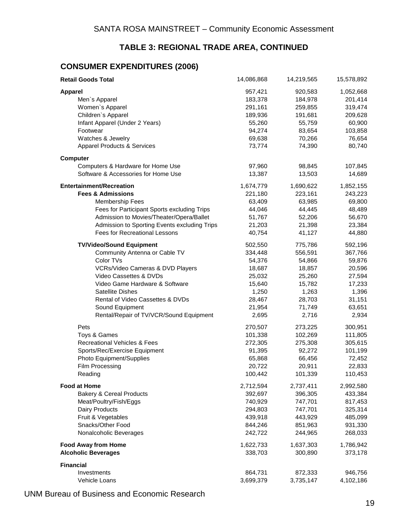## **TABLE 3: REGIONAL TRADE AREA, CONTINUED**

# **CONSUMER EXPENDITURES (2006)**

| <b>Retail Goods Total</b>                    | 14,086,868 | 14,219,565 | 15,578,892 |
|----------------------------------------------|------------|------------|------------|
| <b>Apparel</b>                               | 957,421    | 920,583    | 1,052,668  |
| Men's Apparel                                | 183,378    | 184,978    | 201,414    |
| Women's Apparel                              | 291,161    | 259,855    | 319,474    |
| Children's Apparel                           | 189,936    | 191,681    | 209,628    |
| Infant Apparel (Under 2 Years)               | 55,260     | 55,759     | 60,900     |
| Footwear                                     | 94,274     | 83,654     | 103,858    |
| Watches & Jewelry                            | 69,638     | 70,266     | 76,654     |
| <b>Apparel Products &amp; Services</b>       | 73,774     | 74,390     | 80,740     |
| <b>Computer</b>                              |            |            |            |
| Computers & Hardware for Home Use            | 97,960     | 98,845     | 107,845    |
| Software & Accessories for Home Use          | 13,387     | 13,503     | 14,689     |
| <b>Entertainment/Recreation</b>              | 1,674,779  | 1,690,622  | 1,852,155  |
| <b>Fees &amp; Admissions</b>                 | 221,180    | 223,161    | 243,223    |
| <b>Membership Fees</b>                       | 63,409     | 63,985     | 69,800     |
| Fees for Participant Sports excluding Trips  | 44,046     | 44,445     | 48,489     |
| Admission to Movies/Theater/Opera/Ballet     | 51,767     | 52,206     | 56,670     |
| Admission to Sporting Events excluding Trips | 21,203     | 21,398     | 23,384     |
| <b>Fees for Recreational Lessons</b>         | 40,754     | 41,127     | 44,880     |
| <b>TV/Video/Sound Equipment</b>              | 502,550    | 775,786    | 592,196    |
| Community Antenna or Cable TV                | 334,448    | 556,591    | 367,766    |
| Color TVs                                    | 54,376     | 54,866     | 59,876     |
| VCRs/Video Cameras & DVD Players             | 18,687     | 18,857     | 20,596     |
| Video Cassettes & DVDs                       | 25,032     | 25,260     | 27,594     |
| Video Game Hardware & Software               | 15,640     | 15,782     | 17,233     |
| <b>Satellite Dishes</b>                      | 1,250      | 1,263      | 1,396      |
| Rental of Video Cassettes & DVDs             | 28,467     | 28,703     | 31,151     |
| Sound Equipment                              | 21,954     | 71,749     | 63,651     |
| Rental/Repair of TV/VCR/Sound Equipment      | 2,695      | 2,716      | 2,934      |
| Pets                                         | 270,507    | 273,225    | 300,951    |
| Toys & Games                                 | 101,338    | 102,269    | 111,805    |
| Recreational Vehicles & Fees                 | 272,305    | 275,308    | 305,615    |
| Sports/Rec/Exercise Equipment                | 91,395     | 92,272     | 101,199    |
| Photo Equipment/Supplies                     | 65,868     | 66,456     | 72,452     |
| Film Processing                              | 20,722     | 20,911     | 22,833     |
| Reading                                      | 100,442    | 101,339    | 110,453    |
| <b>Food at Home</b>                          | 2,712,594  | 2,737,411  | 2,992,580  |
| <b>Bakery &amp; Cereal Products</b>          | 392,697    | 396,305    | 433,384    |
| Meat/Poultry/Fish/Eggs                       | 740,929    | 747,701    | 817,453    |
| Dairy Products                               | 294,803    | 747,701    | 325,314    |
| Fruit & Vegetables                           | 439,918    | 443,929    | 485,099    |
| Snacks/Other Food                            | 844,246    | 851,963    | 931,330    |
| Nonalcoholic Beverages                       | 242,722    | 244,965    | 268,033    |
| <b>Food Away from Home</b>                   | 1,622,733  | 1,637,303  | 1,786,942  |
| <b>Alcoholic Beverages</b>                   | 338,703    | 300,890    | 373,178    |
| <b>Financial</b>                             |            |            |            |
| Investments                                  | 864,731    | 872,333    | 946,756    |
| Vehicle Loans                                | 3,699,379  | 3,735,147  | 4,102,186  |

UNM Bureau of Business and Economic Research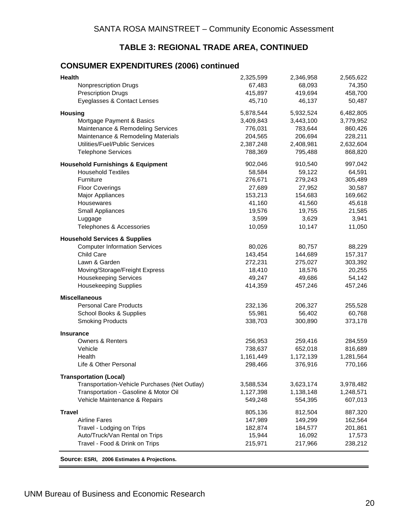### **TABLE 3: REGIONAL TRADE AREA, CONTINUED**

# **CONSUMER EXPENDITURES (2006) continued**

| Health                                        | 2,325,599 | 2,346,958 | 2,565,622 |
|-----------------------------------------------|-----------|-----------|-----------|
| <b>Nonprescription Drugs</b>                  | 67,483    | 68,093    | 74,350    |
| <b>Prescription Drugs</b>                     | 415,897   | 419,694   | 458,700   |
| Eyeglasses & Contact Lenses                   | 45,710    | 46,137    | 50,487    |
| <b>Housing</b>                                | 5,878,544 | 5,932,524 | 6,482,805 |
| Mortgage Payment & Basics                     | 3,409,843 | 3,443,100 | 3,779,952 |
| Maintenance & Remodeling Services             | 776,031   | 783,644   | 860,426   |
| Maintenance & Remodeling Materials            | 204,565   | 206,694   | 228,211   |
| Utilities/Fuel/Public Services                | 2,387,248 | 2,408,981 | 2,632,604 |
| <b>Telephone Services</b>                     | 788,369   | 795,488   | 868,820   |
| <b>Household Furnishings &amp; Equipment</b>  | 902,046   | 910,540   | 997,042   |
| <b>Household Textiles</b>                     | 58,584    | 59,122    | 64,591    |
| Furniture                                     | 276,671   | 279,243   | 305,489   |
| <b>Floor Coverings</b>                        | 27,689    | 27,952    | 30,587    |
| <b>Major Appliances</b>                       | 153,213   | 154,683   | 169,662   |
| Housewares                                    | 41,160    | 41,560    | 45,618    |
| Small Appliances                              | 19,576    | 19,755    | 21,585    |
| Luggage                                       | 3,599     | 3,629     | 3,941     |
| Telephones & Accessories                      | 10,059    | 10,147    | 11,050    |
| <b>Household Services &amp; Supplies</b>      |           |           |           |
| <b>Computer Information Services</b>          | 80,026    | 80,757    | 88,229    |
| Child Care                                    | 143,454   | 144,689   | 157,317   |
| Lawn & Garden                                 | 272,231   | 275,027   | 303,392   |
| Moving/Storage/Freight Express                | 18,410    | 18,576    | 20,255    |
| <b>Housekeeping Services</b>                  | 49,247    | 49,686    | 54,142    |
| <b>Housekeeping Supplies</b>                  | 414,359   | 457,246   | 457,246   |
| <b>Miscellaneous</b>                          |           |           |           |
| <b>Personal Care Products</b>                 | 232,136   | 206,327   | 255,528   |
| School Books & Supplies                       | 55,981    | 56,402    | 60,768    |
| <b>Smoking Products</b>                       | 338,703   | 300,890   | 373,178   |
| <b>Insurance</b>                              |           |           |           |
| <b>Owners &amp; Renters</b>                   | 256,953   | 259,416   | 284,559   |
| Vehicle                                       | 738,637   | 652,018   | 816,689   |
| Health                                        | 1,161,449 | 1,172,139 | 1,281,564 |
| Life & Other Personal                         | 298,466   | 376,916   | 770,166   |
| <b>Transportation (Local)</b>                 |           |           |           |
| Transportation-Vehicle Purchases (Net Outlay) | 3,588,534 | 3,623,174 | 3,978,482 |
| Transportation - Gasoline & Motor Oil         | 1,127,398 | 1,138,148 | 1,248,571 |
| Vehicle Maintenance & Repairs                 | 549,248   | 554,395   | 607,013   |
| <b>Travel</b>                                 | 805,136   | 812,504   | 887,320   |
| <b>Airline Fares</b>                          | 147,989   | 149,299   | 162,564   |
| Travel - Lodging on Trips                     | 182,874   | 184,577   | 201,861   |
| Auto/Truck/Van Rental on Trips                | 15,944    | 16,092    | 17,573    |
| Travel - Food & Drink on Trips                | 215,971   | 217,966   | 238,212   |
|                                               |           |           |           |

**Source: ESRI, 2006 Estimates & Projections.**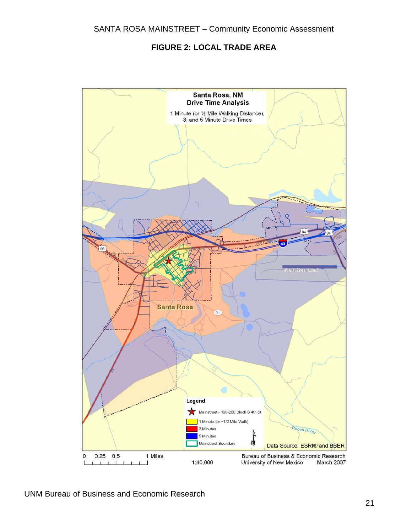# **FIGURE 2: LOCAL TRADE AREA**

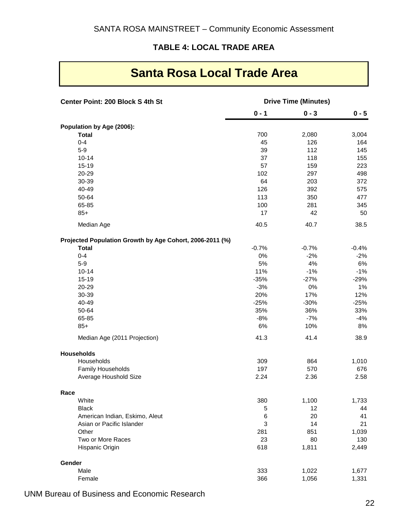# **TABLE 4: LOCAL TRADE AREA**

| <b>Santa Rosa Local Trade Area</b> |  |  |  |  |  |
|------------------------------------|--|--|--|--|--|
|------------------------------------|--|--|--|--|--|

| Center Point: 200 Block S 4th St                         | <b>Drive Time (Minutes)</b> |         |         |
|----------------------------------------------------------|-----------------------------|---------|---------|
|                                                          | $0 - 1$                     | $0 - 3$ | $0 - 5$ |
| Population by Age (2006):                                |                             |         |         |
| <b>Total</b>                                             | 700                         | 2,080   | 3,004   |
| $0 - 4$                                                  | 45                          | 126     | 164     |
| $5-9$                                                    | 39                          | 112     | 145     |
| $10 - 14$                                                | 37                          | 118     | 155     |
| $15 - 19$                                                | 57                          | 159     | 223     |
| 20-29                                                    | 102                         | 297     | 498     |
| 30-39                                                    | 64                          | 203     | 372     |
| 40-49                                                    | 126                         | 392     | 575     |
| 50-64                                                    | 113                         | 350     | 477     |
| 65-85                                                    | 100                         | 281     | 345     |
| $85+$                                                    | 17                          | 42      | 50      |
| Median Age                                               | 40.5                        | 40.7    | 38.5    |
| Projected Population Growth by Age Cohort, 2006-2011 (%) |                             |         |         |
| <b>Total</b>                                             | $-0.7%$                     | $-0.7%$ | $-0.4%$ |
| $0 - 4$                                                  | 0%                          | $-2%$   | $-2%$   |
| $5-9$                                                    | 5%                          | 4%      | 6%      |
| $10 - 14$                                                | 11%                         | $-1%$   | $-1%$   |
| $15 - 19$                                                | $-35%$                      | $-27%$  | $-29%$  |
| 20-29                                                    | $-3%$                       | 0%      | 1%      |
| 30-39                                                    | 20%                         | 17%     | 12%     |
| 40-49                                                    | $-25%$                      | $-30%$  | $-25%$  |
| 50-64                                                    | 35%                         | 36%     | 33%     |
| 65-85                                                    | $-8%$                       | $-7%$   | $-4%$   |
| $85+$                                                    | 6%                          | 10%     | 8%      |
| Median Age (2011 Projection)                             | 41.3                        | 41.4    | 38.9    |
| <b>Households</b>                                        |                             |         |         |
| Households                                               | 309                         | 864     | 1,010   |
| Family Households                                        | 197                         | 570     | 676     |
| Average Houshold Size                                    | 2.24                        | 2.36    | 2.58    |
| Race                                                     |                             |         |         |
| White                                                    | 380                         | 1,100   | 1,733   |
| <b>Black</b>                                             | 5                           | 12      | 44      |
| American Indian, Eskimo, Aleut                           | 6                           | 20      | 41      |
| Asian or Pacific Islander                                | 3                           | 14      | 21      |
| Other                                                    | 281                         | 851     | 1,039   |
| Two or More Races                                        | 23                          | 80      | 130     |
| Hispanic Origin                                          | 618                         | 1,811   | 2,449   |
| Gender                                                   |                             |         |         |
| Male                                                     | 333                         | 1,022   | 1,677   |
| Female                                                   | 366                         | 1,056   | 1,331   |
|                                                          |                             |         |         |

UNM Bureau of Business and Economic Research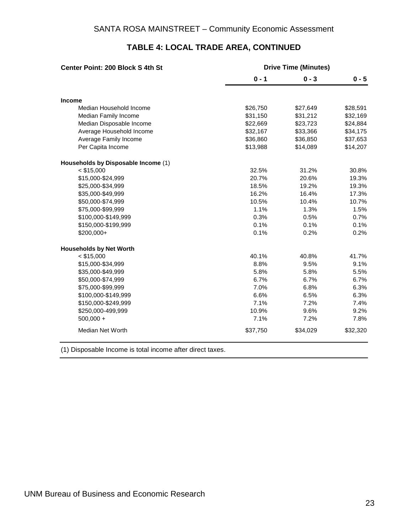| Center Point: 200 Block S 4th St    | <b>Drive Time (Minutes)</b> |          |          |  |  |  |  |
|-------------------------------------|-----------------------------|----------|----------|--|--|--|--|
|                                     | $0 - 1$                     | $0 - 3$  | $0 - 5$  |  |  |  |  |
| Income                              |                             |          |          |  |  |  |  |
| Median Household Income             | \$26,750                    | \$27,649 | \$28,591 |  |  |  |  |
| Median Family Income                | \$31,150                    | \$31,212 | \$32,169 |  |  |  |  |
| Median Disposable Income            | \$22,669                    | \$23,723 | \$24,884 |  |  |  |  |
| Average Household Income            | \$32,167                    | \$33,366 | \$34,175 |  |  |  |  |
| Average Family Income               | \$36,860                    | \$36,850 | \$37,653 |  |  |  |  |
| Per Capita Income                   | \$13,988                    | \$14,089 | \$14,207 |  |  |  |  |
| Households by Disposable Income (1) |                             |          |          |  |  |  |  |
| $<$ \$15,000                        | 32.5%                       | 31.2%    | 30.8%    |  |  |  |  |
| \$15,000-\$24,999                   | 20.7%                       | 20.6%    | 19.3%    |  |  |  |  |
| \$25,000-\$34,999                   | 18.5%                       | 19.2%    | 19.3%    |  |  |  |  |
| \$35,000-\$49,999                   | 16.2%                       | 16.4%    | 17.3%    |  |  |  |  |
| \$50,000-\$74,999                   | 10.5%                       | 10.4%    | 10.7%    |  |  |  |  |
| \$75,000-\$99,999                   | 1.1%                        | 1.3%     | 1.5%     |  |  |  |  |
| \$100,000-\$149,999                 | 0.3%                        | 0.5%     | 0.7%     |  |  |  |  |
| \$150,000-\$199,999                 | 0.1%                        | 0.1%     | 0.1%     |  |  |  |  |
| \$200,000+                          | 0.1%                        | 0.2%     | 0.2%     |  |  |  |  |
| <b>Households by Net Worth</b>      |                             |          |          |  |  |  |  |
| $<$ \$15,000                        | 40.1%                       | 40.8%    | 41.7%    |  |  |  |  |
| \$15,000-\$34,999                   | 8.8%                        | 9.5%     | 9.1%     |  |  |  |  |
| \$35,000-\$49,999                   | 5.8%                        | 5.8%     | 5.5%     |  |  |  |  |
| \$50,000-\$74,999                   | 6.7%                        | 6.7%     | 6.7%     |  |  |  |  |
| \$75,000-\$99,999                   | 7.0%                        | 6.8%     | 6.3%     |  |  |  |  |
| \$100,000-\$149,999                 | 6.6%                        | 6.5%     | 6.3%     |  |  |  |  |
| \$150,000-\$249,999                 | 7.1%                        | 7.2%     | 7.4%     |  |  |  |  |
| \$250,000-499,999                   | 10.9%                       | 9.6%     | 9.2%     |  |  |  |  |
| $500,000 +$                         | 7.1%                        | 7.2%     | 7.8%     |  |  |  |  |
| <b>Median Net Worth</b>             | \$37,750                    | \$34,029 | \$32,320 |  |  |  |  |

# **TABLE 4: LOCAL TRADE AREA, CONTINUED**

(1) Disposable Income is total income after direct taxes.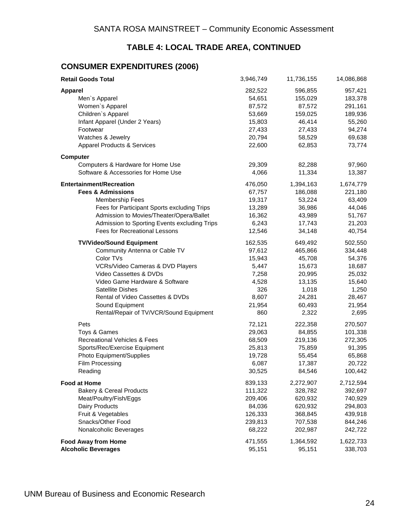# **TABLE 4: LOCAL TRADE AREA, CONTINUED**

# **CONSUMER EXPENDITURES (2006)**

| <b>Retail Goods Total</b>                    | 3,946,749 | 11,736,155 | 14,086,868 |
|----------------------------------------------|-----------|------------|------------|
| <b>Apparel</b>                               | 282,522   | 596,855    | 957,421    |
| Men's Apparel                                | 54,651    | 155,029    | 183,378    |
| Women's Apparel                              | 87,572    | 87,572     | 291,161    |
| Children's Apparel                           | 53,669    | 159,025    | 189,936    |
| Infant Apparel (Under 2 Years)               | 15,803    | 46,414     | 55,260     |
| Footwear                                     | 27,433    | 27,433     | 94,274     |
| Watches & Jewelry                            | 20,794    | 58,529     | 69,638     |
| <b>Apparel Products &amp; Services</b>       | 22,600    | 62,853     | 73,774     |
| Computer                                     |           |            |            |
| Computers & Hardware for Home Use            | 29,309    | 82,288     | 97,960     |
| Software & Accessories for Home Use          | 4,066     | 11,334     | 13,387     |
| <b>Entertainment/Recreation</b>              | 476,050   | 1,394,163  | 1,674,779  |
| <b>Fees &amp; Admissions</b>                 | 67,757    | 186,088    | 221,180    |
| <b>Membership Fees</b>                       | 19,317    | 53,224     | 63,409     |
| Fees for Participant Sports excluding Trips  | 13,289    | 36,986     | 44,046     |
| Admission to Movies/Theater/Opera/Ballet     | 16,362    | 43,989     | 51,767     |
| Admission to Sporting Events excluding Trips | 6,243     | 17,743     | 21,203     |
| <b>Fees for Recreational Lessons</b>         | 12,546    | 34,148     | 40,754     |
| <b>TV/Video/Sound Equipment</b>              | 162,535   | 649,492    | 502,550    |
| Community Antenna or Cable TV                | 97,612    | 465,866    | 334,448    |
| Color TVs                                    | 15,943    | 45,708     | 54,376     |
| VCRs/Video Cameras & DVD Players             | 5,447     | 15,673     | 18,687     |
| Video Cassettes & DVDs                       | 7,258     | 20,995     | 25,032     |
| Video Game Hardware & Software               | 4,528     | 13,135     | 15,640     |
| <b>Satellite Dishes</b>                      | 326       | 1,018      | 1,250      |
| Rental of Video Cassettes & DVDs             | 8,607     | 24,281     | 28,467     |
| Sound Equipment                              | 21,954    | 60,493     | 21,954     |
| Rental/Repair of TV/VCR/Sound Equipment      | 860       | 2,322      | 2,695      |
| Pets                                         | 72,121    | 222,358    | 270,507    |
| Toys & Games                                 | 29,063    | 84,855     | 101,338    |
| <b>Recreational Vehicles &amp; Fees</b>      | 68,509    | 219,136    | 272,305    |
| Sports/Rec/Exercise Equipment                | 25,813    | 75,859     | 91,395     |
| Photo Equipment/Supplies                     | 19,728    | 55,454     | 65,868     |
| Film Processing                              | 6,087     | 17,387     | 20,722     |
| Reading                                      | 30,525    | 84,546     | 100,442    |
| <b>Food at Home</b>                          | 839,133   | 2,272,907  | 2,712,594  |
| <b>Bakery &amp; Cereal Products</b>          | 111,322   | 328,782    | 392,697    |
| Meat/Poultry/Fish/Eggs                       | 209,406   | 620,932    | 740,929    |
| Dairy Products                               | 84,036    | 620,932    | 294,803    |
| Fruit & Vegetables                           | 126,333   | 368,845    | 439,918    |
| Snacks/Other Food                            | 239,813   | 707,538    | 844,246    |
| Nonalcoholic Beverages                       | 68,222    | 202,987    | 242,722    |
| <b>Food Away from Home</b>                   | 471,555   | 1,364,592  | 1,622,733  |
| <b>Alcoholic Beverages</b>                   | 95,151    | 95,151     | 338,703    |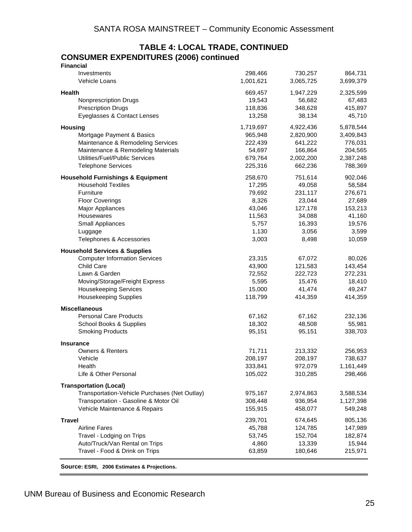#### **TABLE 4: LOCAL TRADE, CONTINUED CONSUMER EXPENDITURES (2006) continued Financial**

| <b>Filialitial</b>                            |           |           |           |
|-----------------------------------------------|-----------|-----------|-----------|
| Investments                                   | 298,466   | 730,257   | 864,731   |
| Vehicle Loans                                 | 1,001,621 | 3,065,725 | 3,699,379 |
|                                               |           |           |           |
| <b>Health</b>                                 | 669,457   | 1,947,229 | 2,325,599 |
| <b>Nonprescription Drugs</b>                  | 19,543    | 56,682    | 67,483    |
| <b>Prescription Drugs</b>                     | 118,836   | 348,628   | 415,897   |
|                                               |           |           |           |
| Eyeglasses & Contact Lenses                   | 13,258    | 38,134    | 45,710    |
| <b>Housing</b>                                | 1,719,697 | 4,922,436 | 5,878,544 |
| Mortgage Payment & Basics                     | 965,948   | 2,820,900 | 3,409,843 |
|                                               |           |           |           |
| Maintenance & Remodeling Services             | 222,439   | 641,222   | 776,031   |
| Maintenance & Remodeling Materials            | 54,697    | 166,864   | 204,565   |
| Utilities/Fuel/Public Services                | 679,764   | 2,002,200 | 2,387,248 |
| <b>Telephone Services</b>                     | 225,316   | 662,236   | 788,369   |
|                                               |           |           |           |
| <b>Household Furnishings &amp; Equipment</b>  | 258,670   | 751,614   | 902,046   |
| <b>Household Textiles</b>                     | 17,295    | 49,058    | 58,584    |
| Furniture                                     | 79,692    | 231,117   | 276,671   |
| <b>Floor Coverings</b>                        | 8,326     | 23,044    | 27,689    |
| Major Appliances                              | 43,046    | 127,178   | 153,213   |
| Housewares                                    | 11,563    | 34,088    | 41,160    |
|                                               |           |           |           |
| Small Appliances                              | 5,757     | 16,393    | 19,576    |
| Luggage                                       | 1,130     | 3,056     | 3,599     |
| Telephones & Accessories                      | 3,003     | 8,498     | 10,059    |
| <b>Household Services &amp; Supplies</b>      |           |           |           |
|                                               |           |           |           |
| <b>Computer Information Services</b>          | 23,315    | 67,072    | 80,026    |
| <b>Child Care</b>                             | 43,900    | 121,583   | 143,454   |
| Lawn & Garden                                 | 72,552    | 222,723   | 272,231   |
| Moving/Storage/Freight Express                | 5,595     | 15,476    | 18,410    |
| <b>Housekeeping Services</b>                  | 15,000    | 41,474    | 49,247    |
| <b>Housekeeping Supplies</b>                  | 118,799   | 414,359   | 414,359   |
|                                               |           |           |           |
| <b>Miscellaneous</b>                          |           |           |           |
| <b>Personal Care Products</b>                 | 67,162    | 67,162    | 232,136   |
| School Books & Supplies                       | 18,302    | 48,508    | 55,981    |
| <b>Smoking Products</b>                       | 95,151    | 95,151    | 338,703   |
|                                               |           |           |           |
| <b>Insurance</b>                              |           |           |           |
| <b>Owners &amp; Renters</b>                   | 71,711    | 213,332   | 256,953   |
| Vehicle                                       | 208,197   | 208,197   | 738,637   |
| Health                                        | 333,841   | 972,079   | 1,161,449 |
| Life & Other Personal                         | 105,022   | 310,285   | 298,466   |
|                                               |           |           |           |
| <b>Transportation (Local)</b>                 |           |           |           |
| Transportation-Vehicle Purchases (Net Outlay) | 975,167   | 2,974,863 | 3,588,534 |
| Transportation - Gasoline & Motor Oil         | 308,448   | 936,954   | 1,127,398 |
| Vehicle Maintenance & Repairs                 | 155,915   | 458,077   | 549,248   |
|                                               |           |           |           |
| <b>Travel</b>                                 | 239,701   | 674,645   | 805,136   |
| <b>Airline Fares</b>                          | 45,788    | 124,785   | 147,989   |
| Travel - Lodging on Trips                     | 53,745    | 152,704   | 182,874   |
| Auto/Truck/Van Rental on Trips                | 4,860     | 13,339    | 15,944    |
|                                               |           |           |           |
| Travel - Food & Drink on Trips                | 63,859    | 180,646   | 215,971   |
|                                               |           |           |           |

**Source: ESRI, 2006 Estimates & Projections.**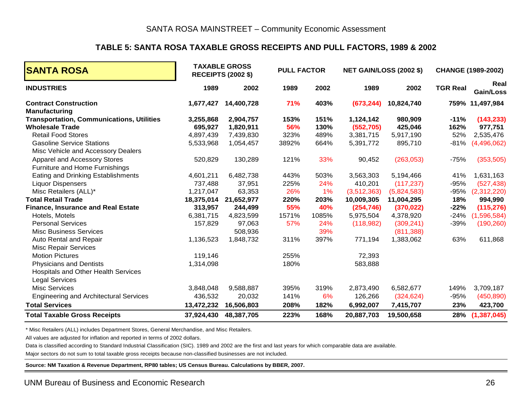#### **TABLE 5: SANTA ROSA TAXABLE GROSS RECEIPTS AND PULL FACTORS, 1989 & 2002**

| <b>SANTA ROSA</b>                                |            | <b>TAXABLE GROSS</b><br><b>RECEIPTS (2002 \$)</b> | <b>PULL FACTOR</b> |       |             | <b>NET GAIN/LOSS (2002 \$)</b> |                 | CHANGE (1989-2002) |
|--------------------------------------------------|------------|---------------------------------------------------|--------------------|-------|-------------|--------------------------------|-----------------|--------------------|
| <b>INDUSTRIES</b>                                | 1989       | 2002                                              | 1989               | 2002  | 1989        | 2002                           | <b>TGR Real</b> | Real<br>Gain/Loss  |
| <b>Contract Construction</b>                     | 1,677,427  | 14,400,728                                        | 71%                | 403%  | (673, 244)  | 10,824,740                     |                 | 759% 11,497,984    |
| <b>Manufacturing</b>                             |            |                                                   |                    |       |             |                                |                 |                    |
| <b>Transportation, Communications, Utilities</b> | 3,255,868  | 2,904,757                                         | 153%               | 151%  | 1,124,142   | 980,909                        | $-11%$          | (143, 233)         |
| <b>Wholesale Trade</b>                           | 695,927    | 1,820,911                                         | 56%                | 130%  | (552, 705)  | 425,046                        | 162%            | 977,751            |
| <b>Retail Food Stores</b>                        | 4,897,439  | 7,439,830                                         | 323%               | 489%  | 3,381,715   | 5,917,190                      | 52%             | 2,535,476          |
| <b>Gasoline Service Stations</b>                 | 5,533,968  | 1,054,457                                         | 3892%              | 664%  | 5,391,772   | 895,710                        | $-81%$          | (4,496,062)        |
| Misc Vehicle and Accessory Dealers               |            |                                                   |                    |       |             |                                |                 |                    |
| Apparel and Accessory Stores                     | 520,829    | 130,289                                           | 121%               | 33%   | 90,452      | (263,053)                      | $-75%$          | (353, 505)         |
| Furniture and Home Furnishings                   |            |                                                   |                    |       |             |                                |                 |                    |
| Eating and Drinking Establishments               | 4,601,211  | 6,482,738                                         | 443%               | 503%  | 3,563,303   | 5,194,466                      | 41%             | 1,631,163          |
| <b>Liquor Dispensers</b>                         | 737,488    | 37,951                                            | 225%               | 24%   | 410,201     | (117, 237)                     | $-95%$          | (527, 438)         |
| Misc Retailers (ALL)*                            | 1,217,047  | 63,353                                            | 26%                | 1%    | (3,512,363) | (5,824,583)                    | -95%            | (2,312,220)        |
| <b>Total Retail Trade</b>                        | 18,375,014 | 21,652,977                                        | 220%               | 203%  | 10,009,305  | 11,004,295                     | 18%             | 994,990            |
| <b>Finance, Insurance and Real Estate</b>        | 313,957    | 244,499                                           | 55%                | 40%   | (254, 746)  | (370, 022)                     | $-22%$          | (115, 276)         |
| Hotels, Motels                                   | 6,381,715  | 4,823,599                                         | 1571%              | 1085% | 5,975,504   | 4,378,920                      | $-24%$          | (1,596,584)        |
| <b>Personal Services</b>                         | 157,829    | 97,063                                            | 57%                | 24%   | (118,982)   | (309, 241)                     | $-39%$          | (190, 260)         |
| <b>Misc Business Services</b>                    |            | 508,936                                           |                    | 39%   |             | (811, 388)                     |                 |                    |
| Auto Rental and Repair                           | 1,136,523  | 1,848,732                                         | 311%               | 397%  | 771,194     | 1,383,062                      | 63%             | 611,868            |
| <b>Misc Repair Services</b>                      |            |                                                   |                    |       |             |                                |                 |                    |
| <b>Motion Pictures</b>                           | 119,146    |                                                   | 255%               |       | 72,393      |                                |                 |                    |
| <b>Physicians and Dentists</b>                   | 1,314,098  |                                                   | 180%               |       | 583,888     |                                |                 |                    |
| Hospitals and Other Health Services              |            |                                                   |                    |       |             |                                |                 |                    |
| <b>Legal Services</b>                            |            |                                                   |                    |       |             |                                |                 |                    |
| <b>Misc Services</b>                             | 3,848,048  | 9,588,887                                         | 395%               | 319%  | 2,873,490   | 6,582,677                      | 149%            | 3,709,187          |
| <b>Engineering and Architectural Services</b>    | 436,532    | 20,032                                            | 141%               | 6%    | 126,266     | (324, 624)                     | $-95%$          | (450, 890)         |
| <b>Total Services</b>                            | 13,472,232 | 16,506,803                                        | 208%               | 182%  | 6,992,007   | 7,415,707                      | 23%             | 423,700            |
| <b>Total Taxable Gross Receipts</b>              | 37,924,430 | 48,387,705                                        | 223%               | 168%  | 20,887,703  | 19,500,658                     | 28%             | (1, 387, 045)      |

\* Misc Retailers (ALL) includes Department Stores, General Merchandise, and Misc Retailers.

All values are adjusted for inflation and reported in terms of 2002 dollars.

Data is classified according to Standard Industrial Classification (SIC). 1989 and 2002 are the first and last years for which comparable data are available.

Major sectors do not sum to total taxable gross receipts because non-classified businesses are not included.

**Source: NM Taxation & Revenue Department, RP80 tables; US Census Bureau. Calculations by BBER, 2007.**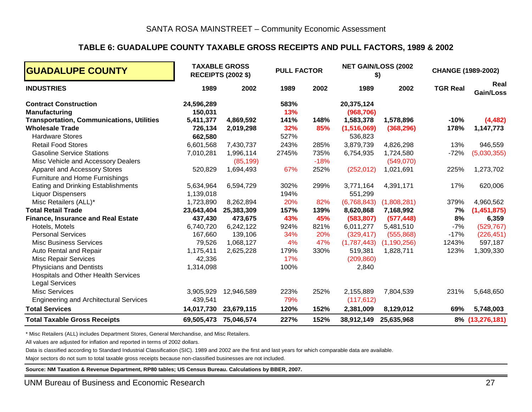## **TABLE 6: GUADALUPE COUNTY TAXABLE GROSS RECEIPTS AND PULL FACTORS, 1989 & 2002**

| <b>GUADALUPE COUNTY</b>                                                    |                        | <b>TAXABLE GROSS</b><br><b>RECEIPTS (2002 \$)</b> | <b>PULL FACTOR</b> |                | NET GAIN/LOSS (2002<br>\$) |                         | <b>CHANGE (1989-2002)</b> |                       |
|----------------------------------------------------------------------------|------------------------|---------------------------------------------------|--------------------|----------------|----------------------------|-------------------------|---------------------------|-----------------------|
| <b>INDUSTRIES</b>                                                          | 1989                   | 2002                                              | 1989               | 2002           | 1989                       | 2002                    | <b>TGR Real</b>           | Real<br>Gain/Loss     |
| <b>Contract Construction</b><br><b>Manufacturing</b>                       | 24,596,289<br>150,031  |                                                   | 583%<br>13%        |                | 20,375,124<br>(968, 706)   |                         |                           |                       |
| <b>Transportation, Communications, Utilities</b><br><b>Wholesale Trade</b> | 5,411,377<br>726,134   | 4,869,592<br>2,019,298                            | 141%<br>32%        | 148%<br>85%    | 1,583,378<br>(1,516,069)   | 1,578,896<br>(368, 296) | $-10%$<br>178%            | (4, 482)<br>1,147,773 |
| <b>Hardware Stores</b>                                                     | 662,580                |                                                   | 527%               |                | 536,823                    |                         |                           |                       |
| <b>Retail Food Stores</b>                                                  | 6,601,568              | 7,430,737                                         | 243%               | 285%           | 3,879,739                  | 4,826,298               | 13%                       | 946,559               |
| <b>Gasoline Service Stations</b><br>Misc Vehicle and Accessory Dealers     | 7,010,281              | 1,996,114<br>(85, 199)                            | 2745%              | 735%<br>$-18%$ | 6,754,935                  | 1,724,580<br>(549,070)  | $-72%$                    | (5,030,355)           |
| Apparel and Accessory Stores<br>Furniture and Home Furnishings             | 520,829                | 1,694,493                                         | 67%                | 252%           | (252, 012)                 | 1,021,691               | 225%                      | 1,273,702             |
| Eating and Drinking Establishments<br><b>Liquor Dispensers</b>             | 5,634,964<br>1,139,018 | 6,594,729                                         | 302%<br>194%       | 299%           | 3,771,164<br>551,299       | 4,391,171               | 17%                       | 620,006               |
| Misc Retailers (ALL)*                                                      | 1,723,890              | 8,262,894                                         | 20%                | 82%            | (6,768,843)                | (1,808,281)             | 379%                      | 4,960,562             |
| <b>Total Retail Trade</b>                                                  | 23,643,404             | 25,383,309                                        | 157%               | 139%           | 8,620,868                  | 7,168,992               | 7%                        | (1,451,875)           |
| <b>Finance, Insurance and Real Estate</b>                                  | 437,430                | 473,675                                           | 43%                | 45%            | (583, 807)                 | (577, 448)              | 8%                        | 6,359                 |
| Hotels, Motels                                                             | 6,740,720              | 6,242,122                                         | 924%               | 821%           | 6,011,277                  | 5,481,510               | $-7%$                     | (529, 767)            |
| <b>Personal Services</b>                                                   | 167,660                | 139,106                                           | 34%                | 20%            | (329, 417)                 | (555, 868)              | $-17%$                    | (226, 451)            |
| <b>Misc Business Services</b>                                              | 79,526                 | 1,068,127                                         | 4%                 | 47%            | (1,787,443)                | (1, 190, 256)           | 1243%                     | 597,187               |
| Auto Rental and Repair                                                     | 1,175,411              | 2,625,228                                         | 179%               | 330%           | 519,381                    | 1,828,711               | 123%                      | 1,309,330             |
| <b>Misc Repair Services</b>                                                | 42,336                 |                                                   | 17%                |                | (209, 860)                 |                         |                           |                       |
| <b>Physicians and Dentists</b>                                             | 1,314,098              |                                                   | 100%               |                | 2,840                      |                         |                           |                       |
| Hospitals and Other Health Services<br><b>Legal Services</b>               |                        |                                                   |                    |                |                            |                         |                           |                       |
| <b>Misc Services</b>                                                       | 3,905,929              | 12,946,589                                        | 223%               | 252%           | 2,155,889                  | 7,804,539               | 231%                      | 5,648,650             |
| <b>Engineering and Architectural Services</b>                              | 439,541                |                                                   | 79%                |                | (117, 612)                 |                         |                           |                       |
| <b>Total Services</b>                                                      | 14,017,730             | 23,679,115                                        | 120%               | 152%           | 2,381,009                  | 8,129,012               | 69%                       | 5,748,003             |
| <b>Total Taxable Gross Receipts</b>                                        | 69,505,473             | 75,046,574                                        | 227%               | 152%           | 38,912,149                 | 25,635,968              |                           | 8% (13,276,181)       |

\* Misc Retailers (ALL) includes Department Stores, General Merchandise, and Misc Retailers.

All values are adjusted for inflation and reported in terms of 2002 dollars.

Data is classified according to Standard Industrial Classification (SIC). 1989 and 2002 are the first and last years for which comparable data are available.

Major sectors do not sum to total taxable gross receipts because non-classified businesses are not included.

**Source: NM Taxation & Revenue Department, RP80 tables; US Census Bureau. Calculations by BBER, 2007.**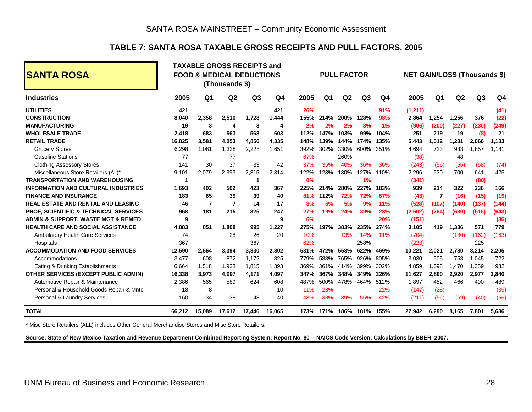# **TABLE 7: SANTA ROSA TAXABLE GROSS RECEIPTS AND PULL FACTORS, 2005**

| <b>ISANTA ROSA</b>                               |        |                | (Thousands \$) | <b>TAXABLE GROSS RECEIPTS and</b><br><b>FOOD &amp; MEDICAL DEDUCTIONS</b> |                |      |                | <b>PULL FACTOR</b> |                |            | <b>NET GAIN/LOSS (Thousands \$)</b> |                |                |       |                |
|--------------------------------------------------|--------|----------------|----------------|---------------------------------------------------------------------------|----------------|------|----------------|--------------------|----------------|------------|-------------------------------------|----------------|----------------|-------|----------------|
| <b>Industries</b>                                | 2005   | Q <sub>1</sub> | Q2             | Q <sub>3</sub>                                                            | Q <sub>4</sub> | 2005 | Q <sub>1</sub> | Q2                 | Q <sub>3</sub> | Q4         | 2005                                | Q <sub>1</sub> | Q <sub>2</sub> | Q3    | Q <sub>4</sub> |
| <b>UTILITIES</b>                                 | 421    |                |                |                                                                           | 421            | 26%  |                |                    |                | 91%        | (1,211)                             |                |                |       | (41)           |
| <b>CONSTRUCTION</b>                              | 8.040  | 2,358          | 2,510          | 1.728                                                                     | 1.444          | 155% | 214%           | 200%               | 128%           | 98%        | 2.864                               | 1,254          | 1.256          | 376   | (22)           |
| <b>MANUFACTURING</b>                             | 19     | 3              | 4              | 8                                                                         | 4              | 2%   | 2%             | 2%                 | 3%             | 1%         | (906)                               | (200)          | (227)          | (230) | (249)          |
| <b>WHOLESALE TRADE</b>                           | 2,418  | 683            | 563            | 568                                                                       | 603            | 112% | 147%           | 103%               | 99%            | 104%       | 251                                 | 219            | 19             | (8)   | 21             |
| <b>RETAIL TRADE</b>                              | 16.825 | 3,581          | 4.053          | 4,856                                                                     | 4,335          | 148% | 139%           | 144%               | 174%           | 135%       | 5,443                               | 1,012          | 1,231          | 2,066 | 1,133          |
| <b>Grocery Stores</b>                            | 6,298  | 1,081          | 1,338          | 2,228                                                                     | 1,651          | 392% | 302%           | 330%               | 600%           | 351%       | 4,694                               | 723            | 933            | 1,857 | 1,181          |
| <b>Gasoline Stations</b>                         | 77     |                | 77             |                                                                           |                | 67%  |                | 260%               |                |            | (38)                                |                | 48             |       |                |
| <b>Clothing Assessory Stores</b>                 | 141    | 30             | 37             | 33                                                                        | 42             | 37%  | 35%            | 40%                | 36%            | 36%        | (243)                               | (56)           | (56)           | (58)  | (74)           |
| Miscellaneous Store Retailers (All)*             | 9,101  | 2,079          | 2,393          | 2,315                                                                     | 2.314          | 122% | 123%           | 130%               | 127%           | 110%       | 2,296                               | 530            | 700            | 641   | 425            |
| <b>TRANSPORTATION AND WAREHOUSING</b>            | -1     |                |                | -1                                                                        |                | 0%   |                |                    | 1%             |            | (341)                               |                |                | (80)  |                |
| <b>INFORMATION AND CULTURAL INDUSTRIES</b>       | 1.693  | 402            | 502            | 423                                                                       | 367            | 225% | 214%           | 280%               | 227%           | 183%       | 939                                 | 214            | 322            | 236   | 166            |
| <b>FINANCE AND INSURANCE</b>                     | 183    | 65             | 39             | 39                                                                        | 40             | 81%  | 112%           | <b>72%</b>         | 72%            | 67%        | (43)                                | 7              | (16)           | (15)  | (19)           |
| <b>REAL ESTATE AND RENTAL AND LEASING</b>        | 46     | $\overline{7}$ | $\overline{7}$ | 14                                                                        | 17             | 8%   | 6%             | 5%                 | 9%             | <b>11%</b> | (528)                               | (107)          | (140)          | (137) | (144)          |
| <b>PROF. SCIENTIFIC &amp; TECHNICAL SERVICES</b> | 968    | 181            | 215            | 325                                                                       | 247            | 27%  | 19%            | 24%                | 39%            | 28%        | (2,602)                             | (764)          | (680)          | (515) | (643)          |
| ADMIN & SUPPORT, WASTE MGT & REMED               | 9      |                |                |                                                                           | 9              | 6%   |                |                    |                | 20%        | (151)                               |                |                |       | (36)           |
| HEALTH CARE AND SOCIAL ASSISTANCE                | 4,883  | 851            | 1.808          | 995                                                                       | 1,227          | 275% | 197%           | 383%               | 235%           | 274%       | 3,105                               | 419            | 1,336          | 571   | 779            |
| <b>Ambulatory Health Care Services</b>           | 74     |                | 28             | 26                                                                        | 20             | 10%  |                | 13%                | 14%            | 11%        | (704)                               |                | (180)          | (162) | (163)          |
| Hospitals                                        | 367    |                |                | 367                                                                       |                | 62%  |                |                    | 258%           |            | (223)                               |                |                | 225   |                |
| <b>ACCOMMODATION AND FOOD SERVICES</b>           | 12.590 | 2.564          | 3.394          | 3.830                                                                     | 2.802          | 531% | 472%           | 553%               | 622%           | 469%       | 10.221                              | 2.021          | 2.780          | 3.214 | 2,205          |
| Accommodations                                   | 3.477  | 608            | 872            | 1.172                                                                     | 825            | 779% | 588%           | 765%               | 926%           | 805%       | 3,030                               | 505            | 758            | 1,045 | 722            |
| Eating & Drinking Establishments                 | 6,664  | 1,518          | 1,938          | 1,815                                                                     | 1,393          | 369% | 361%           | 414%               | 399%           | 302%       | 4,859                               | 1,098          | 1,470          | 1,359 | 932            |
| OTHER SERVICES (EXCEPT PUBLIC ADMIN)             | 16,338 | 3,973          | 4,097          | 4.171                                                                     | 4.097          | 347% | 367%           | 348%               | 349%           | 326%       | 11,627                              | 2,890          | 2.920          | 2,977 | 2,840          |
| Automotive Repair & Maintenance                  | 2,386  | 565            | 589            | 624                                                                       | 608            | 487% | 500%           | 478%               | 464%           | 512%       | 1,897                               | 452            | 466            | 490   | 489            |
| Personal & Household Goods Repair & Mntc         | 18     | 8              |                |                                                                           | 10             | 11%  | 23%            |                    |                | 22%        | (147)                               | (28)           |                |       | (35)           |
| Personal & Laundry Services                      | 160    | 34             | 38             | 48                                                                        | 40             | 43%  | 38%            | 39%                | 55%            | 42%        | (211)                               | (56)           | (59)           | (40)  | (56)           |
| <b>TOTAL</b>                                     | 66,212 | 15.089         | 17,612         | 17,446                                                                    | 16,065         |      | 173% 171%      | 186%               | 181%           | 155%       | 27,942                              | 6,290          | 8.165          | 7,801 | 5,686          |

\* Misc Store Retailers (ALL) includes Other General Merchandise Stores and Misc Store Retailers.

**Source: State of New Mexico Taxation and Revenue Department Combined Reporting System; Report No. 80 -- NAICS Code Version; Calculations by BBER, 2007.**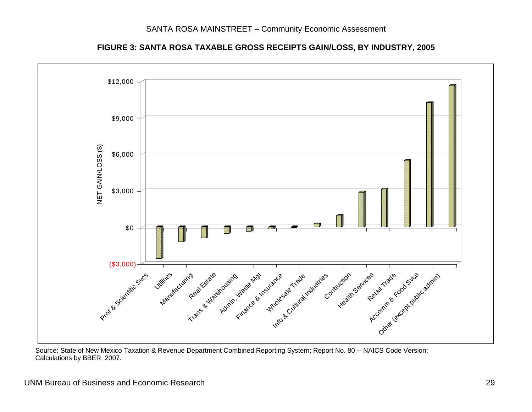

**FIGURE 3: SANTA ROSA TAXABLE GROSS RECEIPTS GAIN/LOSS, BY INDUSTRY, 2005** 

 Source: State of New Mexico Taxation & Revenue Department Combined Reporting System; Report No. 80 -- NAICS Code Version; Calculations by BBER, 2007.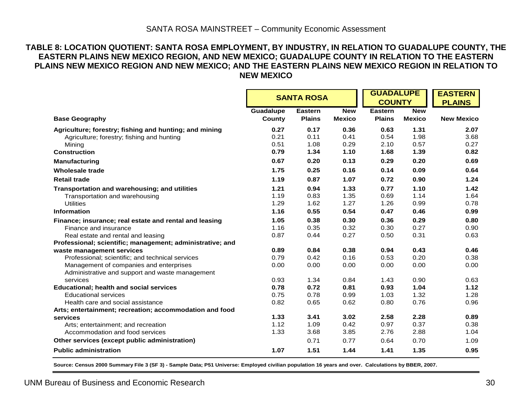#### **TABLE 8: LOCATION QUOTIENT: SANTA ROSA EMPLOYMENT, BY INDUSTRY, IN RELATION TO GUADALUPE COUNTY, THE EASTERN PLAINS NEW MEXICO REGION, AND NEW MEXICO; GUADALUPE COUNTY IN RELATION TO THE EASTERN PLAINS NEW MEXICO REGION AND NEW MEXICO; AND THE EASTERN PLAINS NEW MEXICO REGION IN RELATION TO NEW MEXICO**

|                                                           | <b>SANTA ROSA</b>   |                                 |                             | <b>GUADALUPE</b><br><b>COUNTY</b> |                             | <b>EASTERN</b>    |
|-----------------------------------------------------------|---------------------|---------------------------------|-----------------------------|-----------------------------------|-----------------------------|-------------------|
|                                                           |                     |                                 |                             |                                   |                             | <b>PLAINS</b>     |
| <b>Base Geography</b>                                     | Guadalupe<br>County | <b>Eastern</b><br><b>Plains</b> | <b>New</b><br><b>Mexico</b> | <b>Eastern</b><br><b>Plains</b>   | <b>New</b><br><b>Mexico</b> | <b>New Mexico</b> |
|                                                           |                     |                                 |                             |                                   |                             |                   |
| Agriculture; forestry; fishing and hunting; and mining    | 0.27                | 0.17                            | 0.36                        | 0.63                              | 1.31                        | 2.07              |
| Agriculture; forestry; fishing and hunting                | 0.21<br>0.51        | 0.11<br>1.08                    | 0.41<br>0.29                | 0.54                              | 1.98<br>0.57                | 3.68<br>0.27      |
| Mining                                                    |                     |                                 |                             | 2.10                              |                             |                   |
| <b>Construction</b>                                       | 0.79                | 1.34                            | 1.10                        | 1.68                              | 1.39                        | 0.82              |
| Manufacturing                                             | 0.67                | 0.20                            | 0.13                        | 0.29                              | 0.20                        | 0.69              |
| <b>Wholesale trade</b>                                    | 1.75                | 0.25                            | 0.16                        | 0.14                              | 0.09                        | 0.64              |
| <b>Retail trade</b>                                       | 1.19                | 0.87                            | 1.07                        | 0.72                              | 0.90                        | 1.24              |
| Transportation and warehousing; and utilities             | 1.21                | 0.94                            | 1.33                        | 0.77                              | 1.10                        | 1.42              |
| Transportation and warehousing                            | 1.19                | 0.83                            | 1.35                        | 0.69                              | 1.14                        | 1.64              |
| <b>Utilities</b>                                          | 1.29                | 1.62                            | 1.27                        | 1.26                              | 0.99                        | 0.78              |
| <b>Information</b>                                        | 1.16                | 0.55                            | 0.54                        | 0.47                              | 0.46                        | 0.99              |
| Finance; insurance; real estate and rental and leasing    | 1.05                | 0.38                            | 0.30                        | 0.36                              | 0.29                        | 0.80              |
| Finance and insurance                                     | 1.16                | 0.35                            | 0.32                        | 0.30                              | 0.27                        | 0.90              |
| Real estate and rental and leasing                        | 0.87                | 0.44                            | 0.27                        | 0.50                              | 0.31                        | 0.63              |
| Professional; scientific; management; administrative; and |                     |                                 |                             |                                   |                             |                   |
| waste management services                                 | 0.89                | 0.84                            | 0.38                        | 0.94                              | 0.43                        | 0.46              |
| Professional; scientific; and technical services          | 0.79                | 0.42                            | 0.16                        | 0.53                              | 0.20                        | 0.38              |
| Management of companies and enterprises                   | 0.00                | 0.00                            | 0.00                        | 0.00                              | 0.00                        | 0.00              |
| Administrative and support and waste management           |                     |                                 |                             |                                   |                             |                   |
| services                                                  | 0.93                | 1.34                            | 0.84                        | 1.43                              | 0.90                        | 0.63              |
| <b>Educational; health and social services</b>            | 0.78                | 0.72                            | 0.81                        | 0.93                              | 1.04                        | 1.12              |
| <b>Educational services</b>                               | 0.75                | 0.78                            | 0.99                        | 1.03                              | 1.32                        | 1.28              |
| Health care and social assistance                         | 0.82                | 0.65                            | 0.62                        | 0.80                              | 0.76                        | 0.96              |
| Arts; entertainment; recreation; accommodation and food   |                     |                                 |                             |                                   |                             |                   |
| services                                                  | 1.33                | 3.41                            | 3.02                        | 2.58                              | 2.28                        | 0.89              |
| Arts; entertainment; and recreation                       | 1.12                | 1.09                            | 0.42                        | 0.97                              | 0.37                        | 0.38              |
| Accommodation and food services                           | 1.33                | 3.68                            | 3.85                        | 2.76                              | 2.88                        | 1.04              |
| Other services (except public administration)             |                     | 0.71                            | 0.77                        | 0.64                              | 0.70                        | 1.09              |
| <b>Public administration</b>                              | 1.07                | 1.51                            | 1.44                        | 1.41                              | 1.35                        | 0.95              |

**Source: Census 2000 Summary File 3 (SF 3) - Sample Data; P51 Universe: Employed civilian population 16 years and over. Calculations by BBER, 2007.**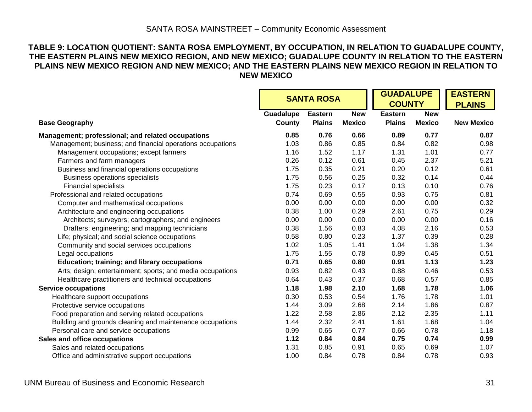#### **TABLE 9: LOCATION QUOTIENT: SANTA ROSA EMPLOYMENT, BY OCCUPATION, IN RELATION TO GUADALUPE COUNTY, THE EASTERN PLAINS NEW MEXICO REGION, AND NEW MEXICO; GUADALUPE COUNTY IN RELATION TO THE EASTERN PLAINS NEW MEXICO REGION AND NEW MEXICO; AND THE EASTERN PLAINS NEW MEXICO REGION IN RELATION TO NEW MEXICO**

|                                                            |                     | <b>SANTA ROSA</b>               |                             |                                 | <b>GUADALUPE</b><br><b>COUNTY</b> |                   |  |
|------------------------------------------------------------|---------------------|---------------------------------|-----------------------------|---------------------------------|-----------------------------------|-------------------|--|
| <b>Base Geography</b>                                      | Guadalupe<br>County | <b>Eastern</b><br><b>Plains</b> | <b>New</b><br><b>Mexico</b> | <b>Eastern</b><br><b>Plains</b> | <b>New</b><br><b>Mexico</b>       | <b>New Mexico</b> |  |
| Management; professional; and related occupations          | 0.85                | 0.76                            | 0.66                        | 0.89                            | 0.77                              | 0.87              |  |
| Management; business; and financial operations occupations | 1.03                | 0.86                            | 0.85                        | 0.84                            | 0.82                              | 0.98              |  |
| Management occupations; except farmers                     | 1.16                | 1.52                            | 1.17                        | 1.31                            | 1.01                              | 0.77              |  |
| Farmers and farm managers                                  | 0.26                | 0.12                            | 0.61                        | 0.45                            | 2.37                              | 5.21              |  |
| Business and financial operations occupations              | 1.75                | 0.35                            | 0.21                        | 0.20                            | 0.12                              | 0.61              |  |
| <b>Business operations specialists</b>                     | 1.75                | 0.56                            | 0.25                        | 0.32                            | 0.14                              | 0.44              |  |
| <b>Financial specialists</b>                               | 1.75                | 0.23                            | 0.17                        | 0.13                            | 0.10                              | 0.76              |  |
| Professional and related occupations                       | 0.74                | 0.69                            | 0.55                        | 0.93                            | 0.75                              | 0.81              |  |
| Computer and mathematical occupations                      | 0.00                | 0.00                            | 0.00                        | 0.00                            | 0.00                              | 0.32              |  |
| Architecture and engineering occupations                   | 0.38                | 1.00                            | 0.29                        | 2.61                            | 0.75                              | 0.29              |  |
| Architects; surveyors; cartographers; and engineers        | 0.00                | 0.00                            | 0.00                        | 0.00                            | 0.00                              | 0.16              |  |
| Drafters; engineering; and mapping technicians             | 0.38                | 1.56                            | 0.83                        | 4.08                            | 2.16                              | 0.53              |  |
| Life; physical; and social science occupations             | 0.58                | 0.80                            | 0.23                        | 1.37                            | 0.39                              | 0.28              |  |
| Community and social services occupations                  | 1.02                | 1.05                            | 1.41                        | 1.04                            | 1.38                              | 1.34              |  |
| Legal occupations                                          | 1.75                | 1.55                            | 0.78                        | 0.89                            | 0.45                              | 0.51              |  |
| <b>Education; training; and library occupations</b>        | 0.71                | 0.65                            | 0.80                        | 0.91                            | 1.13                              | 1.23              |  |
| Arts; design; entertainment; sports; and media occupations | 0.93                | 0.82                            | 0.43                        | 0.88                            | 0.46                              | 0.53              |  |
| Healthcare practitioners and technical occupations         | 0.64                | 0.43                            | 0.37                        | 0.68                            | 0.57                              | 0.85              |  |
| <b>Service occupations</b>                                 | 1.18                | 1.98                            | 2.10                        | 1.68                            | 1.78                              | 1.06              |  |
| Healthcare support occupations                             | 0.30                | 0.53                            | 0.54                        | 1.76                            | 1.78                              | 1.01              |  |
| Protective service occupations                             | 1.44                | 3.09                            | 2.68                        | 2.14                            | 1.86                              | 0.87              |  |
| Food preparation and serving related occupations           | 1.22                | 2.58                            | 2.86                        | 2.12                            | 2.35                              | 1.11              |  |
| Building and grounds cleaning and maintenance occupations  | 1.44                | 2.32                            | 2.41                        | 1.61                            | 1.68                              | 1.04              |  |
| Personal care and service occupations                      | 0.99                | 0.65                            | 0.77                        | 0.66                            | 0.78                              | 1.18              |  |
| Sales and office occupations                               | 1.12                | 0.84                            | 0.84                        | 0.75                            | 0.74                              | 0.99              |  |
| Sales and related occupations                              | 1.31                | 0.85                            | 0.91                        | 0.65                            | 0.69                              | 1.07              |  |
| Office and administrative support occupations              | 1.00                | 0.84                            | 0.78                        | 0.84                            | 0.78                              | 0.93              |  |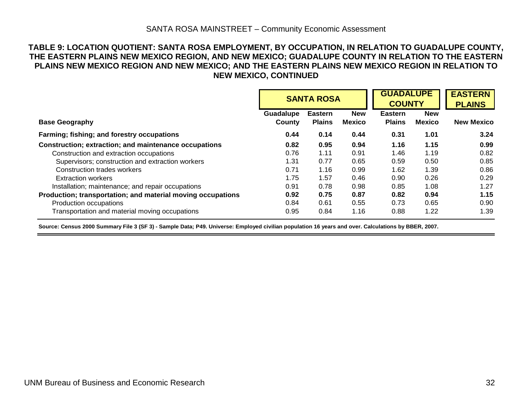#### **TABLE 9: LOCATION QUOTIENT: SANTA ROSA EMPLOYMENT, BY OCCUPATION, IN RELATION TO GUADALUPE COUNTY, THE EASTERN PLAINS NEW MEXICO REGION, AND NEW MEXICO; GUADALUPE COUNTY IN RELATION TO THE EASTERN PLAINS NEW MEXICO REGION AND NEW MEXICO; AND THE EASTERN PLAINS NEW MEXICO REGION IN RELATION TO NEW MEXICO, CONTINUED**

|                                                             |                     | <b>SANTA ROSA</b>               |                             | <b>GUADALUPE</b><br><b>COUNTY</b> | <b>EASTERN</b><br><b>PLAINS</b> |                   |
|-------------------------------------------------------------|---------------------|---------------------------------|-----------------------------|-----------------------------------|---------------------------------|-------------------|
| <b>Base Geography</b>                                       | Guadalupe<br>County | <b>Eastern</b><br><b>Plains</b> | <b>New</b><br><b>Mexico</b> | <b>Eastern</b><br><b>Plains</b>   | <b>New</b><br>Mexico            | <b>New Mexico</b> |
|                                                             |                     |                                 |                             |                                   |                                 |                   |
| Farming; fishing; and forestry occupations                  | 0.44                | 0.14                            | 0.44                        | 0.31                              | 1.01                            | 3.24              |
| Construction; extraction; and maintenance occupations       | 0.82                | 0.95                            | 0.94                        | 1.16                              | 1.15                            | 0.99              |
| Construction and extraction occupations                     | 0.76                | 1.11                            | 0.91                        | 1.46                              | 1.19                            | 0.82              |
| Supervisors; construction and extraction workers            | 1.31                | 0.77                            | 0.65                        | 0.59                              | 0.50                            | 0.85              |
| Construction trades workers                                 | 0.71                | 1.16                            | 0.99                        | 1.62                              | 1.39                            | 0.86              |
| <b>Extraction workers</b>                                   | 1.75                | 1.57                            | 0.46                        | 0.90                              | 0.26                            | 0.29              |
| Installation; maintenance; and repair occupations           | 0.91                | 0.78                            | 0.98                        | 0.85                              | 1.08                            | 1.27              |
| Production; transportation; and material moving occupations | 0.92                | 0.75                            | 0.87                        | 0.82                              | 0.94                            | 1.15              |
| Production occupations                                      | 0.84                | 0.61                            | 0.55                        | 0.73                              | 0.65                            | 0.90              |
| Transportation and material moving occupations              | 0.95                | 0.84                            | 1.16                        | 0.88                              | 1.22                            | 1.39              |

**Source: Census 2000 Summary File 3 (SF 3) - Sample Data; P49. Universe: Employed civilian population 16 years and over. Calculations by BBER, 2007.**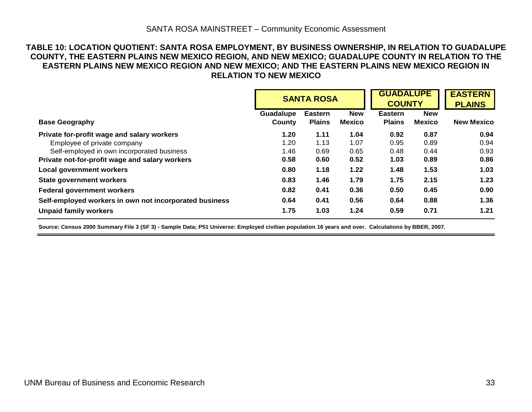#### **TABLE 10: LOCATION QUOTIENT: SANTA ROSA EMPLOYMENT, BY BUSINESS OWNERSHIP, IN RELATION TO GUADALUPE COUNTY, THE EASTERN PLAINS NEW MEXICO REGION, AND NEW MEXICO; GUADALUPE COUNTY IN RELATION TO THE EASTERN PLAINS NEW MEXICO REGION AND NEW MEXICO; AND THE EASTERN PLAINS NEW MEXICO REGION IN RELATION TO NEW MEXICO**

|                                                        |                     | <b>SANTA ROSA</b>               |                             | <b>GUADALUPE</b><br><b>COUNTY</b> |                             | <b>EASTERN</b><br><b>PLAINS</b> |
|--------------------------------------------------------|---------------------|---------------------------------|-----------------------------|-----------------------------------|-----------------------------|---------------------------------|
| <b>Base Geography</b>                                  | Guadalupe<br>County | <b>Eastern</b><br><b>Plains</b> | <b>New</b><br><b>Mexico</b> | <b>Eastern</b><br><b>Plains</b>   | <b>New</b><br><b>Mexico</b> | <b>New Mexico</b>               |
|                                                        |                     |                                 |                             |                                   |                             |                                 |
| Private for-profit wage and salary workers             | 1.20                | 1.11                            | 1.04                        | 0.92                              | 0.87                        | 0.94                            |
| Employee of private company                            | 1.20                | 1.13                            | 1.07                        | 0.95                              | 0.89                        | 0.94                            |
| Self-employed in own incorporated business             | 1.46                | 0.69                            | 0.65                        | 0.48                              | 0.44                        | 0.93                            |
| Private not-for-profit wage and salary workers         | 0.58                | 0.60                            | 0.52                        | 1.03                              | 0.89                        | 0.86                            |
| <b>Local government workers</b>                        | 0.80                | 1.18                            | 1.22                        | 1.48                              | 1.53                        | 1.03                            |
| <b>State government workers</b>                        | 0.83                | 1.46                            | 1.79                        | 1.75                              | 2.15                        | 1.23                            |
| <b>Federal government workers</b>                      | 0.82                | 0.41                            | 0.36                        | 0.50                              | 0.45                        | 0.90                            |
| Self-employed workers in own not incorporated business | 0.64                | 0.41                            | 0.56                        | 0.64                              | 0.88                        | 1.36                            |
| <b>Unpaid family workers</b>                           | 1.75                | 1.03                            | 1.24                        | 0.59                              | 0.71                        | 1.21                            |

**Source: Census 2000 Summary File 3 (SF 3) - Sample Data; P51 Universe: Employed civilian population 16 years and over. Calculations by BBER, 2007.**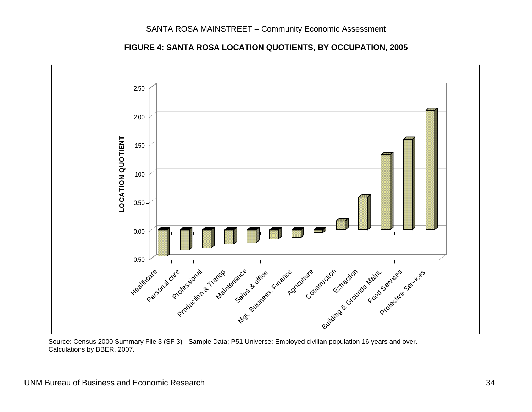



 Source: Census 2000 Summary File 3 (SF 3) - Sample Data; P51 Universe: Employed civilian population 16 years and over. Calculations by BBER, 2007.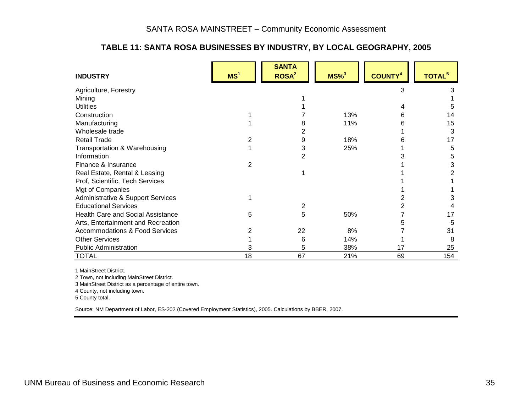# **TABLE 11: SANTA ROSA BUSINESSES BY INDUSTRY, BY LOCAL GEOGRAPHY, 2005**

| <b>INDUSTRY</b>                           | MS <sup>1</sup> | <b>SANTA</b><br>ROSA <sup>2</sup> | $MS\%$ <sup>3</sup> | <b>COUNTY<sup>4</sup></b> | TOTAL <sup>5</sup> |
|-------------------------------------------|-----------------|-----------------------------------|---------------------|---------------------------|--------------------|
| Agriculture, Forestry                     |                 |                                   |                     | 3                         |                    |
| Mining                                    |                 |                                   |                     |                           |                    |
| <b>Utilities</b>                          |                 |                                   |                     |                           |                    |
| Construction                              |                 |                                   | 13%                 | 6                         | 14                 |
| Manufacturing                             |                 |                                   | 11%                 |                           | 15                 |
| Wholesale trade                           |                 |                                   |                     |                           | 3                  |
| <b>Retail Trade</b>                       |                 | 9                                 | 18%                 |                           | 17                 |
| Transportation & Warehousing              |                 | 3                                 | 25%                 |                           | 5                  |
| Information                               |                 | 2                                 |                     |                           | 5                  |
| Finance & Insurance                       | 2               |                                   |                     |                           |                    |
| Real Estate, Rental & Leasing             |                 |                                   |                     |                           |                    |
| Prof, Scientific, Tech Services           |                 |                                   |                     |                           |                    |
| Mgt of Companies                          |                 |                                   |                     |                           |                    |
| Administrative & Support Services         |                 |                                   |                     |                           |                    |
| <b>Educational Services</b>               |                 | 2                                 |                     |                           |                    |
| <b>Health Care and Social Assistance</b>  | 5               | 5                                 | 50%                 |                           | 17                 |
| Arts, Entertainment and Recreation        |                 |                                   |                     |                           | 5                  |
| <b>Accommodations &amp; Food Services</b> |                 | 22                                | 8%                  |                           | 31                 |
| <b>Other Services</b>                     |                 | 6                                 | 14%                 |                           | 8                  |
| <b>Public Administration</b>              |                 | 5                                 | 38%                 | 17                        | 25                 |
| <b>TOTAL</b>                              | 18              | 67                                | 21%                 | 69                        | 154                |

1 MainStreet District.

2 Town, not including MainStreet District.

3 MainStreet District as a percentage of entire town.

4 County, not including town.

5 County total.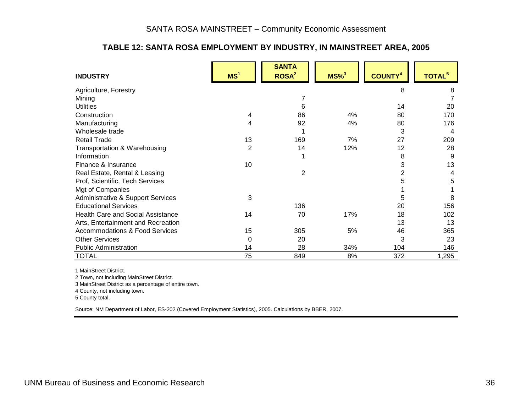# **TABLE 12: SANTA ROSA EMPLOYMENT BY INDUSTRY, IN MAINSTREET AREA, 2005**

| <b>INDUSTRY</b>                           | MS <sup>1</sup> | <b>SANTA</b><br>ROSA <sup>2</sup> | $MS\%$ <sup>3</sup> | <b>COUNTY4</b> | TOTAL <sup>5</sup> |
|-------------------------------------------|-----------------|-----------------------------------|---------------------|----------------|--------------------|
| Agriculture, Forestry                     |                 |                                   |                     | 8              | 8                  |
| Mining                                    |                 |                                   |                     |                |                    |
| <b>Utilities</b>                          |                 | 6                                 |                     | 14             | 20                 |
| Construction                              | 4               | 86                                | 4%                  | 80             | 170                |
| Manufacturing                             | 4               | 92                                | 4%                  | 80             | 176                |
| Wholesale trade                           |                 |                                   |                     | 3              | 4                  |
| <b>Retail Trade</b>                       | 13              | 169                               | 7%                  | 27             | 209                |
| Transportation & Warehousing              | $\overline{2}$  | 14                                | 12%                 | 12             | 28                 |
| Information                               |                 |                                   |                     | 8              | 9                  |
| Finance & Insurance                       | 10              |                                   |                     | 3              | 13                 |
| Real Estate, Rental & Leasing             |                 | 2                                 |                     | 2              | 4                  |
| Prof, Scientific, Tech Services           |                 |                                   |                     | 5              | 5                  |
| Mgt of Companies                          |                 |                                   |                     |                |                    |
| Administrative & Support Services         | 3               |                                   |                     | 5              | 8                  |
| <b>Educational Services</b>               |                 | 136                               |                     | 20             | 156                |
| <b>Health Care and Social Assistance</b>  | 14              | 70                                | 17%                 | 18             | 102                |
| Arts, Entertainment and Recreation        |                 |                                   |                     | 13             | 13                 |
| <b>Accommodations &amp; Food Services</b> | 15              | 305                               | 5%                  | 46             | 365                |
| <b>Other Services</b>                     | 0               | 20                                |                     | 3              | 23                 |
| <b>Public Administration</b>              | 14              | 28                                | 34%                 | 104            | 146                |
| <b>TOTAL</b>                              | 75              | 849                               | 8%                  | 372            | 1,295              |

1 MainStreet District.

2 Town, not including MainStreet District.

3 MainStreet District as a percentage of entire town.

4 County, not including town.

5 County total.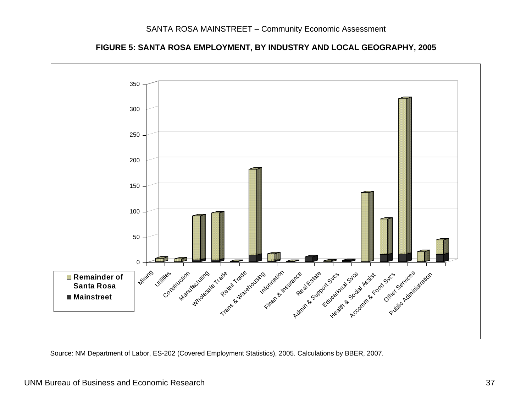

**FIGURE 5: SANTA ROSA EMPLOYMENT, BY INDUSTRY AND LOCAL GEOGRAPHY, 2005**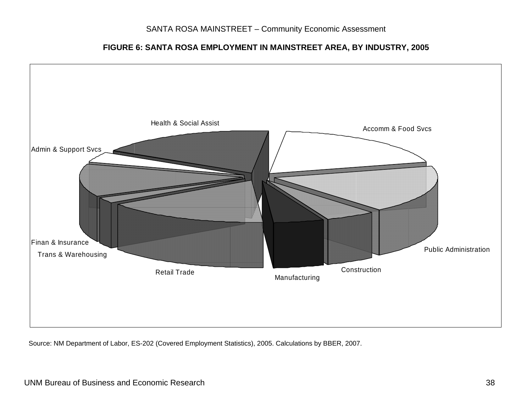**FIGURE 6: SANTA ROSA EMPLOYMENT IN MAINSTREET AREA, BY INDUSTRY, 2005** 

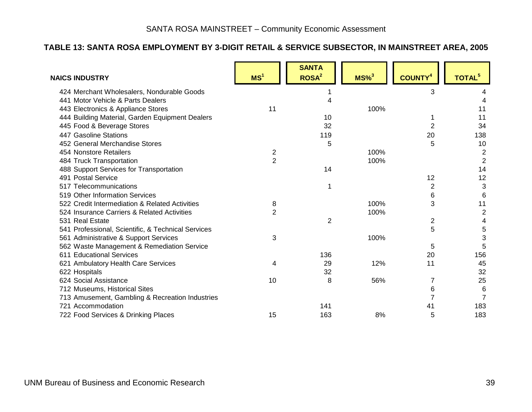# **TABLE 13: SANTA ROSA EMPLOYMENT BY 3-DIGIT RETAIL & SERVICE SUBSECTOR, IN MAINSTREET AREA, 2005**

| <b>NAICS INDUSTRY</b>                              | MS <sup>1</sup> | <b>SANTA</b><br>ROSA <sup>2</sup> | $MS\%$ <sup>3</sup> | <b>COUNTY4</b> | TOTAL <sup>5</sup> |
|----------------------------------------------------|-----------------|-----------------------------------|---------------------|----------------|--------------------|
| 424 Merchant Wholesalers, Nondurable Goods         |                 |                                   |                     | 3              |                    |
| 441 Motor Vehicle & Parts Dealers                  |                 | 4                                 |                     |                |                    |
| 443 Electronics & Appliance Stores                 | 11              |                                   | 100%                |                | 11                 |
| 444 Building Material, Garden Equipment Dealers    |                 | 10                                |                     |                | 11                 |
| 445 Food & Beverage Stores                         |                 | 32                                |                     | $\overline{2}$ | 34                 |
| 447 Gasoline Stations                              |                 | 119                               |                     | 20             | 138                |
| 452 General Merchandise Stores                     |                 | 5                                 |                     | 5              | 10                 |
| 454 Nonstore Retailers                             | 2               |                                   | 100%                |                | $\overline{2}$     |
| 484 Truck Transportation                           | $\overline{2}$  |                                   | 100%                |                | $\overline{2}$     |
| 488 Support Services for Transportation            |                 | 14                                |                     |                | 14                 |
| 491 Postal Service                                 |                 |                                   |                     | 12             | 12                 |
| 517 Telecommunications                             |                 |                                   |                     | $\overline{2}$ | 3                  |
| 519 Other Information Services                     |                 |                                   |                     | 6              | 6                  |
| 522 Credit Intermediation & Related Activities     | 8               |                                   | 100%                | 3              | 11                 |
| 524 Insurance Carriers & Related Activities        | $\overline{2}$  |                                   | 100%                |                | $\boldsymbol{2}$   |
| 531 Real Estate                                    |                 | $\overline{2}$                    |                     | 2              | 4                  |
| 541 Professional, Scientific, & Technical Services |                 |                                   |                     | 5              | 5                  |
| 561 Administrative & Support Services              | 3               |                                   | 100%                |                | 3                  |
| 562 Waste Management & Remediation Service         |                 |                                   |                     | 5              | 5                  |
| 611 Educational Services                           |                 | 136                               |                     | 20             | 156                |
| 621 Ambulatory Health Care Services                | 4               | 29                                | 12%                 | 11             | 45                 |
| 622 Hospitals                                      |                 | 32                                |                     |                | 32                 |
| 624 Social Assistance                              | 10              | 8                                 | 56%                 | 7              | 25                 |
| 712 Museums, Historical Sites                      |                 |                                   |                     | 6              | 6                  |
| 713 Amusement, Gambling & Recreation Industries    |                 |                                   |                     |                | 7                  |
| 721 Accommodation                                  |                 | 141                               |                     | 41             | 183                |
| 722 Food Services & Drinking Places                | 15              | 163                               | 8%                  | 5              | 183                |